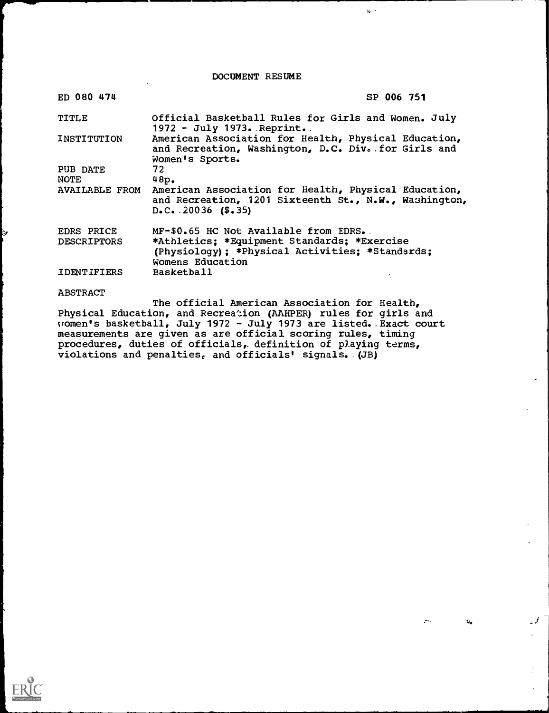DOCUMENT RESUME

 $q_{\rm s}$  .

 $\mathcal{A}$ 

 $\mathbf{M}_{\bullet}$ 

| ED 080 474                              | SP 006 751                                                                                                                                                               |
|-----------------------------------------|--------------------------------------------------------------------------------------------------------------------------------------------------------------------------|
| TITLE                                   | Official Basketball Rules for Girls and Women. July<br>$1972 - July 1973. Reprint.$                                                                                      |
| <b>INSTITUTION</b>                      | American Association for Health, Physical Education,<br>and Recreation, Washington, D.C. Div. for Girls and<br>Women's Sports.                                           |
| PUB DATE<br><b>NOTE</b>                 | 72<br>48p.                                                                                                                                                               |
|                                         | AVAILABLE FROM American Association for Health, Physical Education,<br>and Recreation, 1201 Sixteenth St., N.W., Washington,<br>$D_{\bullet}C_{\bullet}$ . 20036 (\$.35) |
| <b>EDRS PRICE</b><br><b>DESCRIPTORS</b> | MF-\$0.65 HC Not Available from EDRS.<br>*Athletics: *Equipment Standards: *Exercise<br>(Physiology); *Physical Activities; *Standards;<br>Womens Education              |
| IDENTIFIERS                             | <b>Basketball</b>                                                                                                                                                        |
| <b>ABSTRACT</b>                         | The official American Association for Health,                                                                                                                            |

Physical Education, and Recreation (AAHPER) rules for girls and women's basketball, July 1972 - July 1973 are listed..Exact court measurements are given as are official scoring rules, timing procedures, duties of officials,. definition of playing terms, violations and penalties, and officials' signals..(JB)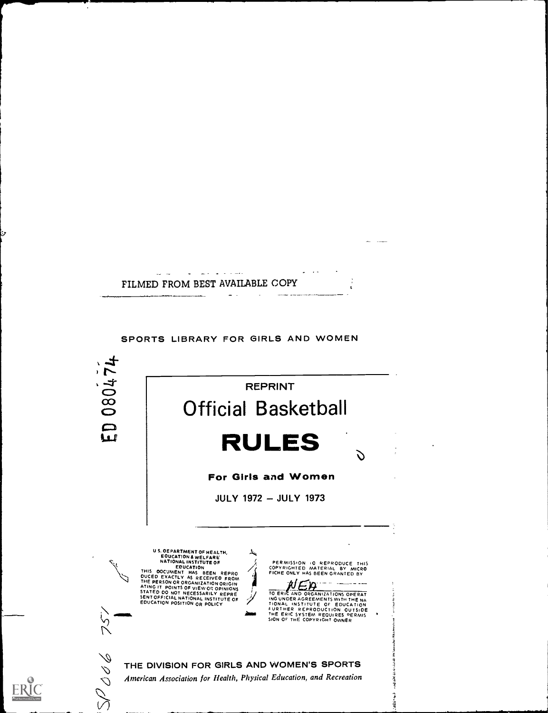

 $\mathbf{r}$ ومستحدث المتعارضات FILMED FROM BEST AVAILABLE COPY  $\mathcal{L}$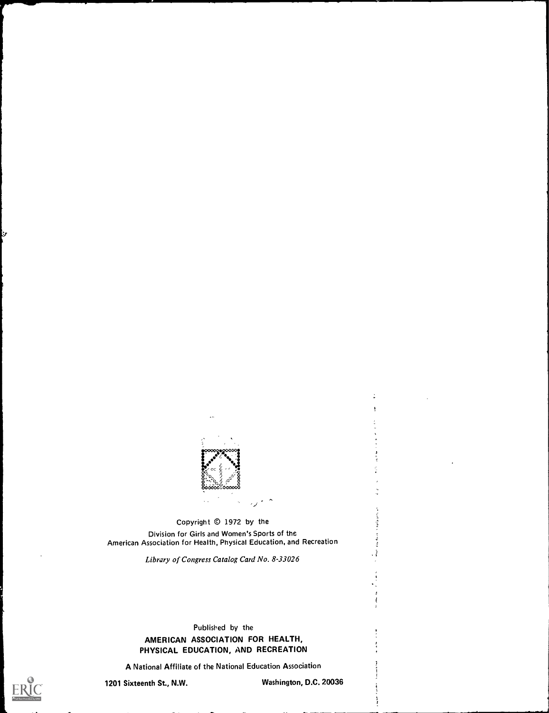

 $\overline{\phantom{a}}$ 

Copyright © 1972 by the Division for Girls and Women's Sports of the American Association for Health, Physical Education, and Recreation

Library of Congress Catalog Card No. 8-33026

# Published by the AMERICAN ASSOCIATION FOR HEALTH, PHYSICAL EDUCATION, AND RECREATION

A National Affiliate of the National Education Association

У

1201 Sixteenth St., N.W. Washington, D.C. 20036

 $\ddot{.}$ 

n kara kan  $\frac{1}{4}$  $\frac{3}{2}$ ; }

ł

4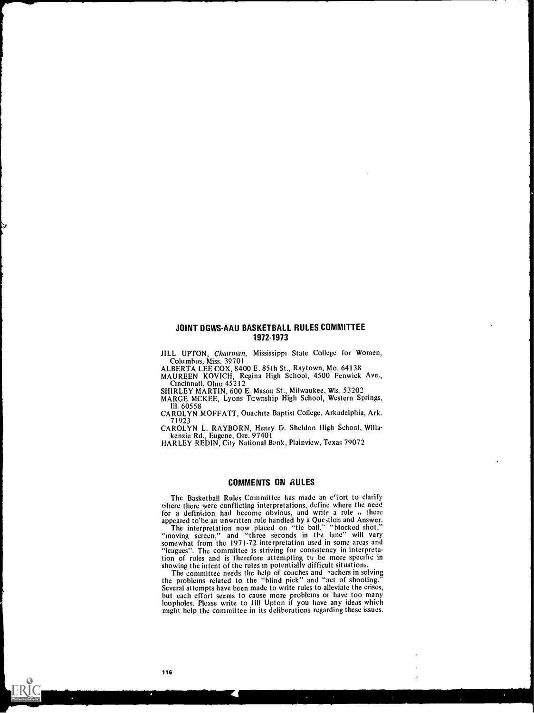# JOINT DGWS-AAU BASKETBALL RULES COMMITTEE 1972-1973

1

JILL UPTON, Chairman, Mississippi State College for Women, Columbus, Miss. 39701<br>ALBERTA LEE COX, 8400 E. 85th St., Raytown, Mo. 64138

ALBERTA LEE COX, 8400 E. 85th St., Raytown, Mo. 64138<br>MAUREEN KOVICH, Regina High School, 4500 Fenwick Ave., Cincinnati, Ohio 45212

SHIRLEY MARTIN, 600 E. Mason St., Milwaukee, Wis. 53202

MARGE MCKEE, Lyons Tcwnship High School, Western Springs, III. 60558

CAROLYN MOFFATT, Ouachita Baptist College. Arkadelphia, Ark. 71923

CAROLYN L. RAYBORN, Henry D. Sheldon High School, Willakenzie Rd., Eugene, Ore. 97401

HARLEY REDIN, City National Bank, Plainview, Texas 79072

#### COMMENTS ON RULES

The Basketball Rules Committee has made an effort to clarify where there were conflicting interpretations, define where the need for a definidon had become obvious, and write a rule .. there appeared to'be an unwritten rule handled by a Que,tion and Answer. The interpretation now placed on "tie ball," "blocked shot,"

"moving screen," and "three seconds in the lane" will vary somewhat from the 1971-72 interpretation used in some areas and "leagues". The committee is striving for consistency in interpretation of rules and is therefore attempting to be more specific in showing the intent of the rules in potentially difficult situations.

The committee needs the help of coaches and *rachers* in solving<br>the problems related to the "blind pick" and "act of shooting." the problems related to the "blind pick" and "act of shooting."<br>Several attempts have been made to write rules to alleviate the crises,<br>but each effort seems to cause more problems or have too many loopholes. Please write to Jill Upton if you have any ideas which might help the committee in its deliberations regarding these issues.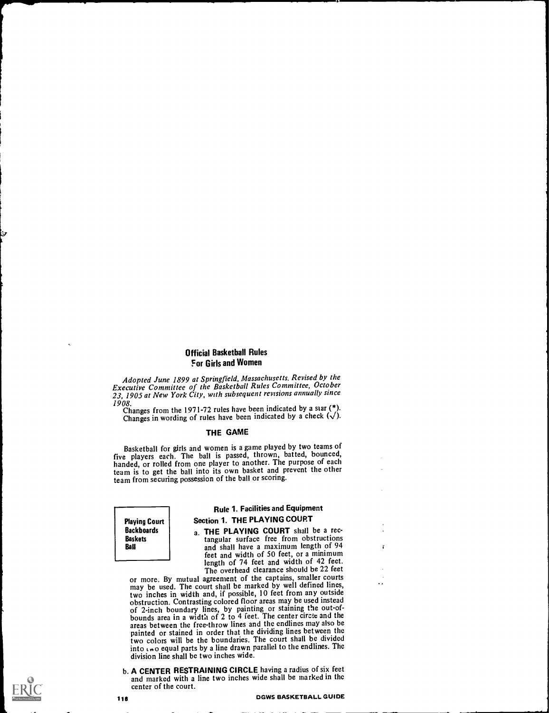# Official Basketball Rules For Girls and Women

Adopted June 1899 at Springfield, Massachusetts. Revised by the Executive Committee of the Basketball Rules Committee, October 23, 1905 at New York City, with subsequent revisions annually since

1908.<br>Changes from the 1971-72 rules have been indicated by a star  $\binom{*}{i}$ . Changes in wording of rules have been indicated by a check  $(\sqrt)$ .

#### THE GAME

Basketball for girls and women is a game played by two teamsof five players each. The ball is passed, thrown, batted, bounced, handed, or rolled from one player to another. The purpose of each team is to get the ball into its own basket and prevent the other team from securing possession of the ball or scoring.

Playing Court **Backboards** Baskets Ball

# Rule 1. Facilities and Equipment Section 1. THE PLAYING COURT

a. THE PLAYING COURT shall be a rec-<br>tangular surface free from obstructions and shall have a maximum length of 94 feet and width of 50 feet, or a minimum<br>length of 74 feet and width of 42 feet. The overhead clearance should be 22 feet.

or more. By mutual agreement of the captains, smaller courts may be used. The court shall be marked by well defined lines, two inches in width and, if possible, 10 feet from any outside obstruction. Contrasting colored floor areas may be used instead of 2-inch boundary lines, by painting or staining the out-ofbounds area in a width of 2 to 4 feet. The center circle and the areas between the free-throw lines and the endlines may also be painted or stained in order that the dividing lines between the two colors will be the boundaries. The court shall be divided into  $\mu$ o equal parts by a line drawn parallel to the endlines. The division line shall be two inches wide.

b. A CENTER RESTRAINING CIRCLE having a radius of six feet and marked with a line two inches wide shall be marked in the center of the court.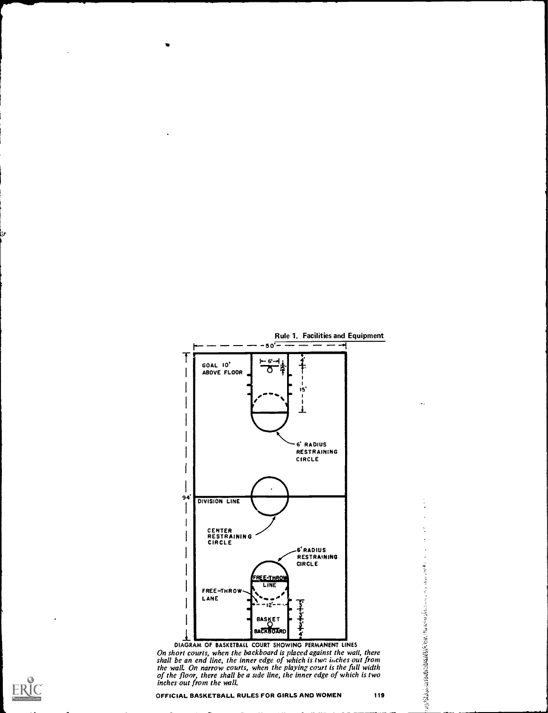

On short courts, when the backboard is placed against the wall, there shall be an end line, the inner edge of which is two inches out from  $\frac{31}{2}$ the wall. On narrow courts, when the playing court is the full width of the floor, there shall be a side line, the inner edge of which is two inches out from the wall,

ð,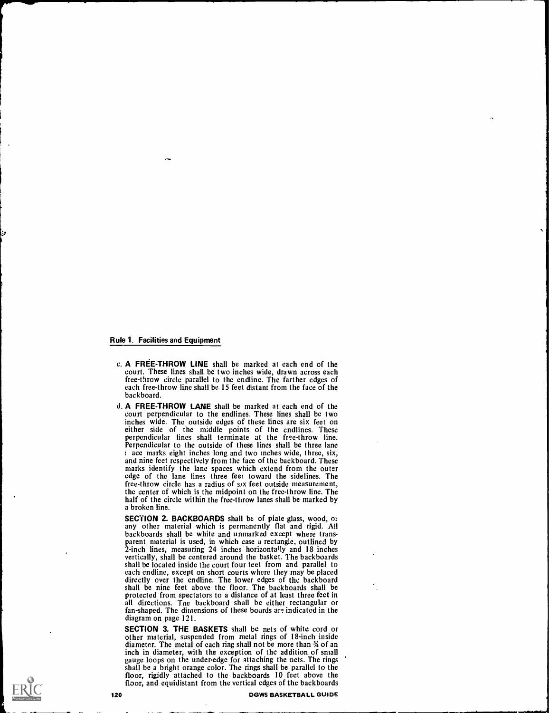### Rule 1. Facilities and Equipment

J.

- c. A FREE-THROW LINE shall be marked at each end of the court. These lines shall be two inches wide, drawn across each free-throw circle parallel to the endline. The farther edges of each free-throw line shall be 15 feet distant from the face of the backboard.
- d. A FREE-THROW LANE shall be marked at each end of the court perpendicular to the endlines. These lines shall be two inches wide. The outside edges of these lines are six feet on either side of the middle points of the endlines. These perpendicular lines shall terminate at the free-throw line. Perpendicular to the outside of these lines shall be three lane ace marks eight inches long and two inches wide, three, six, and nine feet respectively from the face of the backboard. These marks identify the lane spaces which extend from the outer edge of the lane lines three feet toward the sidelines. The free-throw circle has a radius of six feet outside measurement, the center of which is the midpoint on the free-throw line. The half of the circle within the free-throw lanes shall be marked by a broken line.

SECTION 2. BACKBOARDS shall be of plate glass, wood, or any other material which is permanently flat and rigid. All backboards shall be white and unmarked except where transparent material is used, in which case a rectangle, outlined by 2-inch lines, measuring 24 inches horizontally and 18 inches vertically, shall be centered around the basket. The backboards shall be located inside the court four feet from and parallel to each endline, except on short courts where they may be placed directly over the endline. The lower edges of the backboard shall be nine feet above the floor. The backboards shall be protected from spectators to a distance of at least three feet in all directions. Tne backboard shall be either rectangular or fan-shaped. The dimensions of these boards are indicated in the diagram on page 121.

SECTION 3. THE BASKETS shall be nets of white cord or other material, suspended from metal rings of 18-inch inside diameter. The metal of each ring shall not be more than 34 of an inch in diameter, with the exception of the addition of small gauge loops on the under-edge for attaching the nets. The rings shall be a bright orange color. The rings shall be parallel to the floor, rigidly attached to the backboards 10 feet above the floor, and equidistant from the vertical edges of the backboards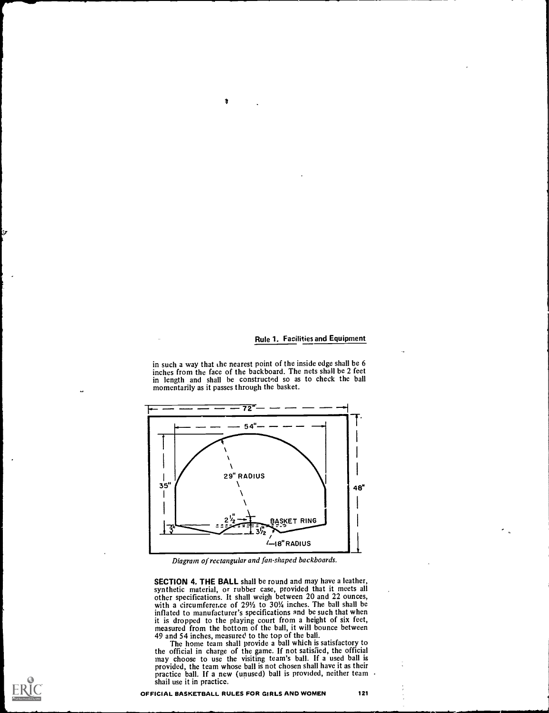#### Rule 1. Facilities and Equipment

in such a way that the nearest point of the inside edge shall be 6 inches from the face of the backboard. The nets shall be 2 feet in length and shall be constructed so as to check the ball momentarily as it passes through the basket.

 $\delta$ 



Diagram of rectangular and fan-shaped backboards.

SECTION 4. THE BALL shall be round and may have a leather, synthetic material, or rubber case, provided that it meets all other specifications. It shall weigh between 20 and 22 ounces, with a circumference of 29<sup>1</sup>/<sub>2</sub> to 30<sup>1</sup>/<sub>4</sub> inches. The ball shall be inflated to manufacturer's specifications and be such that when it is dropped to the playing court from a height of six feet, measured from the bottom of the ball, it will bounce between 49 and 54 inches, measured to the top of the ball.

The home team shall provide a ball which is satisfactory to the official in charge of the game. If not satisfied, the official may choose to use the visiting team's ball. If a used ball is provided, the team whose ball is not chosen shall have it as their practice ball. If a new (unused) ball is provided, neither team shail use it in practice.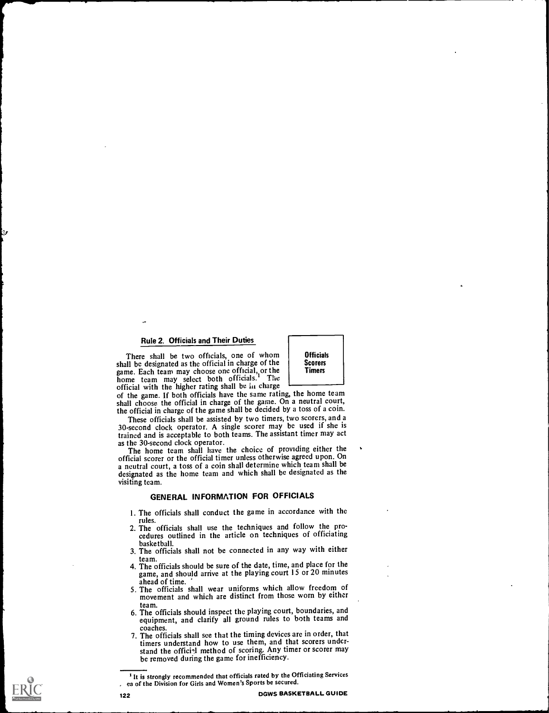There shall be two officials, one of whom shall be designated as the official in charge of the game. Each team may choose one official, or the home team may select both officials.<sup>1</sup> The official with the higher rating shall be in charge

**Officials Scorers** Timers

of the game. If both officials have the same rating, the home team shall choose the official in charge of the game. On a neutral court, the official in charge of the game shall be decided by a toss of a coin.<br>These officials shall be assisted by two timers, two scorers, and a

30-second clock operator. A single scorer may be used if she is trained and is acceptable to both teams. The assistant timer may act as the 30-second clock operator.

The home team shall have the choice of providing either the official scorer or the official timer unless otherwise agreed upon. On a neutral court, a toss of a coin shall determine which team shall be designated as the home team and which shall be designated as the visiting team.

# GENERAL INFORMATION FOR OFFICIALS

- I. The officials shall conduct the game in accordance with the
- rules. 2. The officials shall use the techniques and follow the pro- cedures outlined in the article on techniques of officiating basketball.
- 3. The officials shall not be connected in any way with either
- team. 4. The officials should be sure of the date, time, and place for the game, and should arrive at the playing court 15 or 20 minutes ahead of time.
- 5. The officials shall wear uniforms which allow freedom of movement and which are distinct from those worn by either
- team. 6. The officials should inspect the playing court, boundaries, and equipment, and clarify all ground rules to both teams and
- coaches.<br>7. The officials shall see that the timing devices are in order, that timers understand how to use them, and that scorers understand the official method of scoring. Any timer or scorer may be removed during the game for inefficiency.



<sup>&</sup>lt;sup>1</sup> It is strongly recommended that officials rated by the Officiating Services . ea of the Division for Girls and Women's Sports be secured.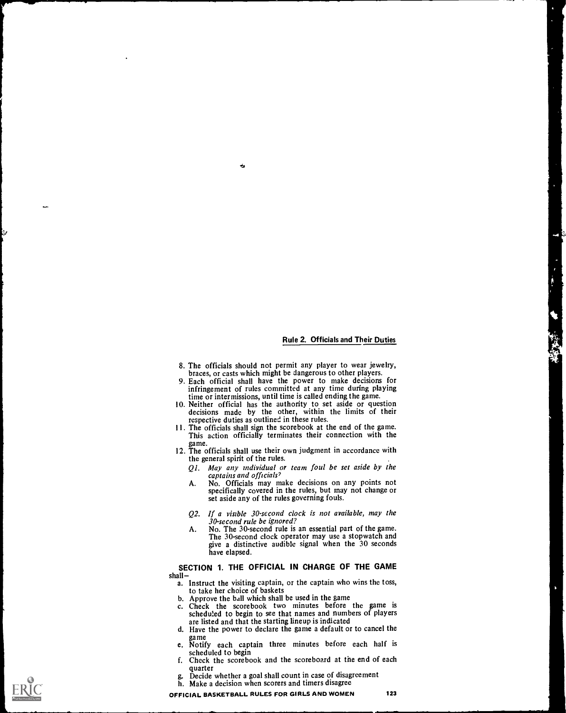- 8. The officials should not permit any player to wear jewelry, braces, or casts which might be dangerous to other players.
- 9. Each official shall have the power to make decisions for infringement of rules committed at any time during playing<br>time or intermissions, until time is called ending the game.
- 10. Neither official has the authority to set aside or question decisions made by the other, within the limits of their respective duties as outlined in these rules.
- II. The officials shall sign the scorebook at the end of the game. This action officially terminates their connection with the
- game. 12. The officials shall use their own judgment in accordance with the general spirit of the rules.
	- $Q1$ . May any individual or team foul be set aside by the captains and officials?<br>No. Officials may make decisions on any points not
	- A. No. Officials may make decisions on any points not specifically covered in the rules, but may not change or set aside any of the rules governing fouls.
	- Q2. If a visible 30-second clock is not available, may the 30-second rule be ignored?
	- A. No. The 30-second rule is an essential part of the game.<br>The 30-second clock operator may use a stopwatch and give a distinctive audible signal when the 30 seconds have elapsed.

# SECTION 1. THE OFFICIAL IN CHARGE OF THE GAME

- shall –<br>a. Instruct the visiting captain, or the captain who wins the toss, to take her choice of baskets
	- b. Approve the ball which shall be used in the game
	- c. Check the scorebook two minutes before the game is scheduled to begin to see that names and numbers of players are listed and that the starting lineup is indicated
	- d. Have the power to declare the game a default or to cancel the game
	- e. Notify each captain three minutes before each half is scheduled to begin
- f. Check the scorebook and the scoreboard at the end of each quarter
- Decide whether a goal shall count in case of disagreement h. Make a decision when scorers and timers disagree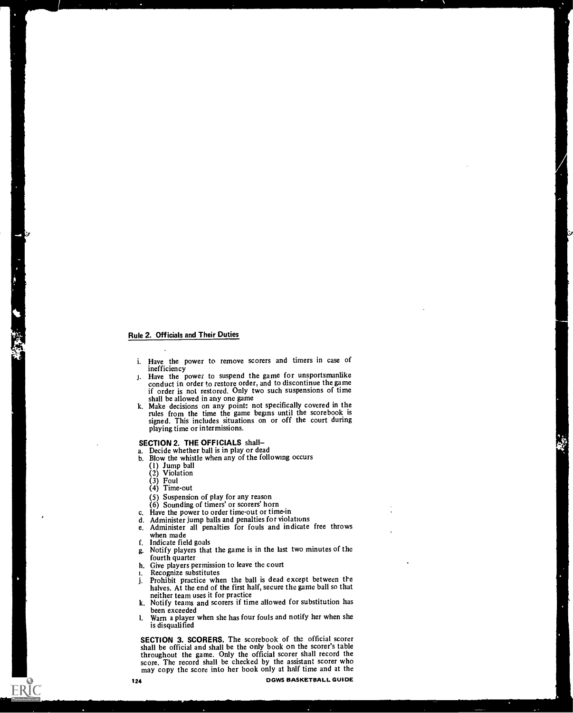- i. Have the power to remove scorers and timers in case of
- inefficiency j. Have the power to suspend the game for unsportsmanlike conduct in order to restore order, and to discontinue the game if order is not restored. Only two such suspensions of time shall be allowed in any one game
- k. Make decisions on any points not specifically covered in the rules from the time the game begins until the scorebook is signed. This includes situations on or off the court during playing time or intermissions.

#### SECTION 2. THE OFFICIALS shall-

a. Decide whether ball is in play or dead

- b. Blow the whistle when any of the following occurs
	- (1) Jump ball (2) Violation
	-
	- (3) Foul
	- (4) Time-out
	- (5) Suspension of play for any reason
	- (6) Sounding of timers' or scorers' horn
	-
- c. Have the power to order time-out or time-in
- 
- d. Administer jump balls and penalties for violations e. Administer all penalties for fouls and indicate Administer all penalties for fouls and indicate free throws when made
- f. Indicate field goals
- g. Notify players that the game is in the last two minutes of the fourth quarter
- h. Give players permission to leave the court
- i. Recognize substitutes
- j. Prohibit practice when the ball is dead except between the halves. At the end of the first half, secure the game ball so that neither team uses it for practice
- k. Notify teams and scorers if time allowed for substitution has been exceeded
- I. Warn a player when she has four fouls and notify her when she is disqualified

SECTION 3. SCORERS. The scorebook of the official scorer shall be official and shall be the only book on the scorer's table throughout the game. Only the official scorer shall record the score. The record shall be checked by the assistant scorer who may copy the score into her book only at half time and at the

**ERIC**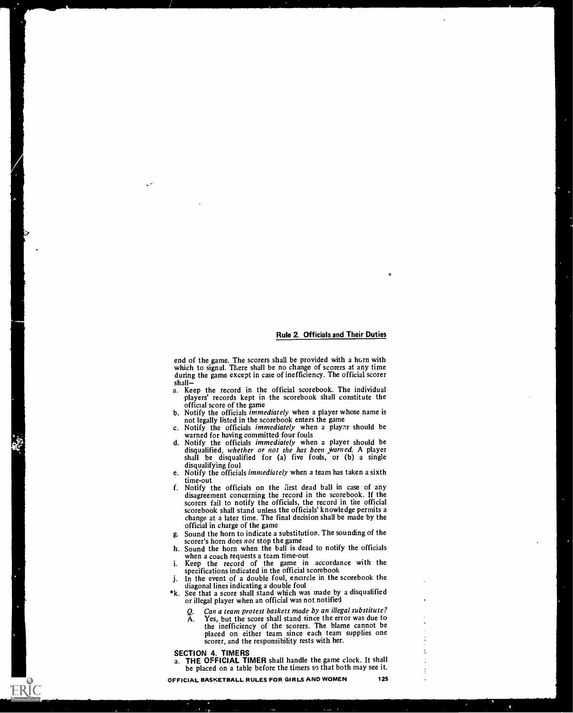end of the game. The scorers shall be provided with a horn with which to signal. There shall be no change of scorers at any time during the game except in case of inefficiency. The official scorer

- shall—<br>a. Keep the record in the official scorebook. The individual<br>players' records kept in the scorebook shall constitute the official score of the game
- b. Notify the officials immediately when a player whose name is not legally listed in the scorebook enters the game
- c. Notify the officials *immediately* when a player should be warned for having committed four fouls
- warned for having committed four fouls<br>d. Notify the officials *immediately* when a player should be disqualified, w*hether or not she has been warned*. A player<br>shall be disqualified for (a) five fouls, or (b) a single disqualifying foul
- e. Notify the officials immediately when a team has taken a sixth time-out
- f. Notify the officials on the first dead ball in case of any disagreement concerning the record in the scorebook. If the scorers fail to notify the officials, the record in the official scorebook shall stand unless the officials' knowledge permits a change at a later time. The final decision shall be made by the official in charge of the game
- g. Sound the horn to indicate a substitution. The sounding of the
- h. Sound the horn when the ball is dead to notify the officials when a coach requests a team time-out
- i. Keep the record of the game in accordance with the specifications indicated in the official scorebook
- j. In the event of a double foul, encircle in the scorebook the diagonal lines indicating a double foul
- \*k. See that a score shall stand which was made by a disqualified or illegal player when an official was not notified
	-
	- Q. Can a team protest baskets made by an illegal substitute?<br>A. Yes, but the score shall stand since the error was due to Yes, but the score shall stand since the error was due to the inefficiency of the scorers. The blame cannot be placed on either team since each team supplies one scorer, and the responsibility rests with her.

SECTION 4. TIMERS

ERIC

a. THE OFFICIAL TIMER shall handle the game clock. It shall be placed on a table before the timers so that both may see it.

OFFICIAL BASKETBALL RULES FOR GIRLS AND WOMEN 125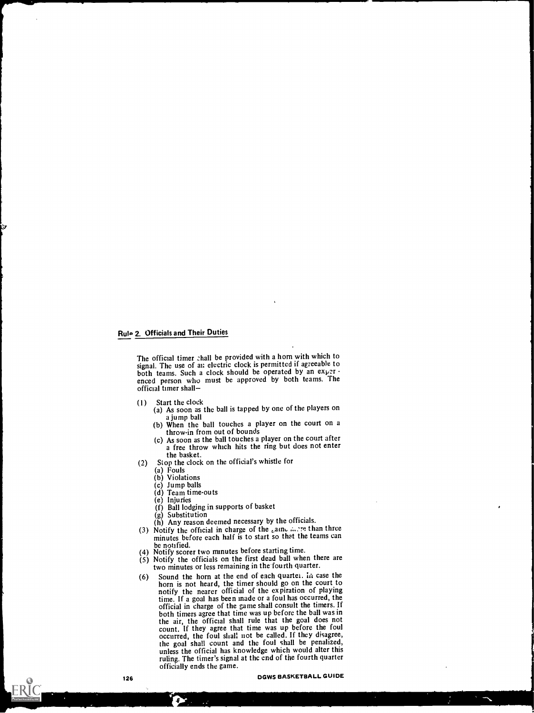The official timer chall be provided with a horn with which to signal. The use of an electric clock is permitted if agreeable to both teams. Such a clock should be operated by an experenced person who must be approved by both teams. The official timer shall

- 
- (1) Start the clock (a) As soon as the ball is tapped by one of the players on
	- a jump ball (b) When the ball touches a player on the court on a throw-in from out of bounds
	- (c) As soon as the ball touches a player on the court after a free throw which hits the ring but does not enter the basket.
- (2) Stop the clock on the official's whistle for
	- (a) Fouls
	- (b) Violations
	- (c) Jump balls
	- (d) Team time-outs
	- (e) Injuries
	- (f) Ball lodging in supports of basket
	-

n.

- (g) Substitution (h) Any reason deemed necessary by the officials.
- (3) Notify the official in charge of the  $_{\epsilon}$ aine in the than three minutes before each half is to start so that the teams can
- be notified.<br>(4) Notify scorer two minutes before starting time.
- $(5)$  Notify the officials on the first dead ball when there are two minutes or less remaining in the fourth quarter.
- (6) Sound the horn at the end of each quartet. In case the horn is not heard, the timer should go on the court to notified the expiration of the expiration of the expiration of  $P$ The matrix is a goal has been made or a foul has occurred, the time. If a goal has been made or a foul has occurred, the official in charge of the game shall consult the timers. If both timers agree that time was up befor the count. If they agree that time was up before the foul occurred, the foul shall not be called. If they disagree, the goal shall count and the foul shall be penalized,<br>unless the official has knowledge which would alter this ruling. The timer's signal at the end of the fourth quarter officially ends the game.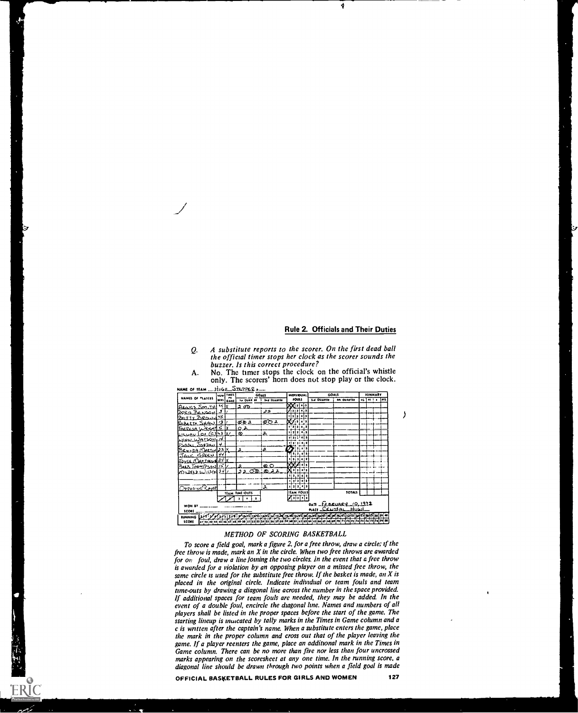Ą

- Q. A substitute reports to the scorer. On the first dead ball the official timer stops her clock as the scorer sounds the buzzer. Is this correct procedure?
- name of  ${\tt r}$ em  ${\tt m}$ 11gh Strppeq. NA/MIS PI .33A11111 ' .4., "4" ... GOAti UAIMAItlj . ,..... 3 t so 0.3 4\* WW1, <sup>11</sup> I 01 . <sup>o</sup> Oft Afia,21 ST, .71A " <sup>X</sup> ..1. 01:) r 11 HOWOUA<br>COMS IcsA\_Bc.,,21,:w Zr..rty 2,90,...) /s 3t, <sup>4</sup> , <sup>I</sup> gale.tm ,`;i0,,,,, rtif-V, KA '3 5 Lv...,,,t, 0 .  $3 / 7$  ,  $22 / 7$  10.00  $\frac{1}{\sqrt{854}}$   $\frac{1}{\sqrt{854}}$   $\frac{1}{\sqrt{254}}$   $\frac{1}{\sqrt{254}}$   $\frac{1}{\sqrt{254}}$   $\frac{1}{\sqrt{254}}$   $\frac{1}{\sqrt{254}}$   $\frac{1}{\sqrt{254}}$ ?, <sup>1</sup> :i, ii4t, -t\_LL  $Y$  $E_{\text{P2}}$ <br> $E_{\text{P2}}$ <br> $E_{\text{P2}}$ <br> $E_{\text{P2}}$ <br> $E_{\text{P2}}$ <br> $E_{\text{P2}}$ <br> $E_{\text{P2}}$ <br> $E_{\text{P2}}$ <br> $E_{\text{P2}}$ <br> $E_{\text{P2}}$ <br> $E_{\text{P2}}$ <br> $E_{\text{P2}}$ <br> $E_{\text{P2}}$ <br> $E_{\text{P2}}$ <br> $E_{\text{P2}}$ <br> $E_{\text{P2}}$ <br> $E_{\text{P2}}$ <br> $E_{\text{P2}}$ <br> $E_{\text{P2}}$ <br> $E_{\text{P2}}$ <br> $\frac{\text{Jow}(\text{Jw})}{\text{Jw}} = \frac{1}{\frac{1}{2} \cdot \frac{1}{2} \cdot \frac{1}{2} \cdot \frac{1}{2} \cdot \frac{1}{2} \cdot \frac{1}{2} \cdot \frac{1}{2} \cdot \frac{1}{2} \cdot \frac{1}{2} \cdot \frac{1}{2} \cdot \frac{1}{2} \cdot \frac{1}{2} \cdot \frac{1}{2} \cdot \frac{1}{2} \cdot \frac{1}{2} \cdot \frac{1}{2} \cdot \frac{1}{2} \cdot \frac{1}{2} \cdot \frac{1}{2} \cdot \frac{1}{2} \cdot \frac{1}{2} \cdot \frac{1$ <sup>I</sup> <sup>1</sup> <sup>1</sup> )11 111 1<u>11 11 11</u> <sup>1</sup> <sup>41</sup> <sup>1</sup> <sup>f</sup>  $\Box^ \frac{1}{2}$   $\frac{1}{2}$   $\frac{1}{2}$   $\frac{1}{2}$   $\frac{1}{2}$   $\frac{1}{2}$   $\frac{1}{2}$   $\frac{1}{2}$   $\frac{1}{2}$   $\frac{1}{2}$   $\frac{1}{2}$   $\frac{1}{2}$   $\frac{1}{2}$   $\frac{1}{2}$   $\frac{1}{2}$   $\frac{1}{2}$   $\frac{1}{2}$   $\frac{1}{2}$   $\frac{1}{2}$   $\frac{1}{2}$   $\frac{1}{2}$   $\frac{1}{2}$  IAM IN31.01.111 flAht ;outs  $X(3) = \begin{bmatrix} \frac{1}{2} & \frac{1}{2} & \frac{1}{2} & \frac{1}{2} & \frac{1}{2} \\ \frac{1}{2} & \frac{1}{2} & \frac{1}{2} & \frac{1}{2} & \frac{1}{2} \\ \frac{1}{2} & \frac{1}{2} & \frac{1}{2} & \frac{1}{2} & \frac{1}{2} \\ \frac{1}{2} & \frac{1}{2} & \frac{1}{2} & \frac{1}{2} & \frac{1}{2} \\ \frac{1}{2} & \frac{1}{2} & \frac{1}{2} & \frac{1}{2} & \frac{1}{2} \\ \frac{1}{2} & \$ 2004<br>1999 - Ministralia Maria Maria Ministralia Aleksandra Maria Maria Maria Maria Maria Maria Maria Maria Maria<br>1999 - Ministralia Maria Maria Maria Maria Maria Maria Maria Maria Maria Maria Maria Maria Maria Maria Maria
- A. No. The timer stops the clock on the official's whistle only. The scorers' horn does not stop play or the clock.

#### METHOD OF SCORING BASKETBALL

To score a field goal, mark a figure 2, for a free throw, draw a circle; if the free throw is made, mark an X in the circle. When two free throws are awarded for on foul, draw a line joining the two circles. in the event that a free throw is awarded for a violation by an opposing player on a missed free throw, the same circle is used for the substitute free throw. If the basket is made, an  $X$  is placed in the original circle. Indicate individual or team fouls and team time-outs by drawing a diagonal line across the number in the space provided. If additional spaces for team fouls are needed, they may be added. In the event of a double foul, encircle the diagonal line. Names and numbers of all players shall be listed in the proper spaces before the start of the game. The starting lineup is muicated by tally marks in the Times in Game column and a c is written after the captain's name. When a substitute enters the game, place the mark in the proper column and cross out that of the player leaving the game. If a player reenters the game, place an additional mark in the Times in Game column. There can be no more than five nor less than four uncrossed marks appearing on the scoresheet at any one time. In the running score, a diagonal line should be drawn through two points when a field goal is made

ERIC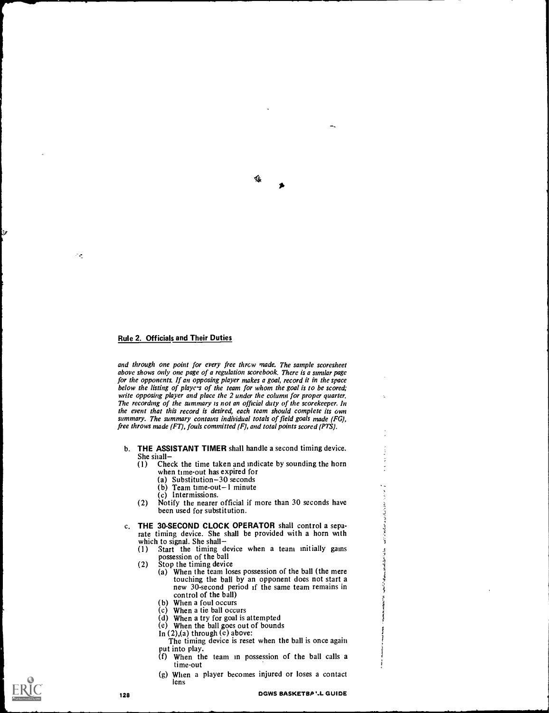$\sigma_{\rm eff}$ 

and through one point for every free thrcw made. The sample scoresheet above shows only one page of a regulation scorebook. There is a similar page for the opponents. If an opposing player makes a goal, record it in the space below the listing of players of the team for whom the goal is to be scored; write opposing player and place the 2 under the column for proper quarter. The recording of the summary is not an official duty of the scorekeeper. In the event that this record is desired, each team should complete its own summary. The summary contains individual totals of field goals made (FG), free throws made (FT), fouls committed (F), and total points scored (PTS).

痣

- b. THE ASSISTANT TIMER shall handle a second timing device. She shall-<br>(1) Che
	- Check the time taken and indicate by sounding the horn when time-out has expired for
		- (a) Substitution-30 seconds
		- $(b)$  Team time-out-1 minute
		- (c) Intermissions.
	- (2) Notify the nearer official if more than 30 seconds have been used for substitution.
- c. THE 30-SECOND CLOCK OPERATOR shall control a separate timing device. She shall be provided with a horn with
	- which to signal. She shall—<br>(1) Start the timing d Start the timing device when a team initially gains possession of the ball
	-
	- (2) Stop the timing device<br>(a) When the team los When the team loses possession of the ball (the mere touching the ball by an opponent does not start a new 30-second period if the same team remains in control of the ball)
		- (b) When a foul occurs
		- (c) When a tie ball occurs
		- (d) When a try for goal is attempted
		- (e) When the ball goes out of bounds
		- In (2),(a) through (e) above:
		- The timing device is reset when the ball is once again put into play.
		- $(f)$  When the team in possession of the ball calls a time-out
		- (g) When a player becomes injured or loses a contact lens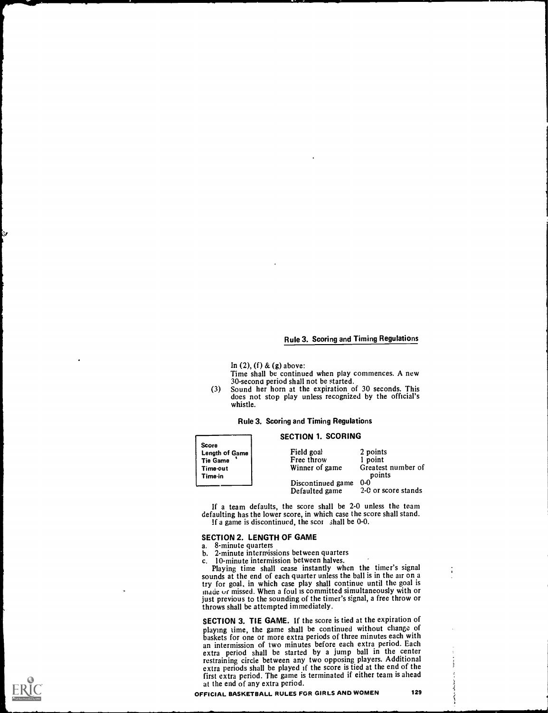# Rule 3. Scoring and Timing Regulations

In  $(2)$ ,  $(f)$  &  $(g)$  above:

Time shall be continued when play commences. A new 30-secona period shall not be started.

(3) Sound her horn at the expiration of 30 seconds. This does not stop play unless recognized by the official's whistle.

#### Rule 3. Scoring and Timing Regulations

| <b>Score</b><br><b>Length of Game</b><br><b>Tie Game</b><br>Time-out<br>Time-in | Field goal<br>Free throw<br>Winner of game | 2 points<br>1 point<br>Greatest number of<br>points |  |
|---------------------------------------------------------------------------------|--------------------------------------------|-----------------------------------------------------|--|
|                                                                                 | Discontinued game<br>Defaulted game        | $0-0$<br>2-0 or score stands                        |  |

If a team defaults, the score shall be 2-0 unless the team defaulting has the lower score, in which case the score shall stand. If a game is discontinued, the scot shall be 0-0.

#### SECTION 2. LENGTH OF GAME

# a. 8-minute quarters

- 
- b. 2-minute intermissions between quarters<br>c. 10-minute intermission between halves.

10-minute intermission between halves.<br>Playing time shall cease instantly when the timer's signal sounds at the end of each quarter unless the ball is in the air on a try for goal, in which case play shall continue until the goal is made or missed. When a foul is committed simultaneously with or just previous to the sounding of the timer's signal, a free throw or throws shall be attempted immediately.

SECTION 3. TIE GAME. If the score is tied at the expiration of playing time, the game shall be continued without change of baskets for one or more extra periods of three minutes each with an intermission of two minutes before each extra period. Each an intermission of two minutes before each extra period. Each extra period shall be started by a jump ball in the center restraining circle between any two opposing players. Additional extra periods shall be played if the score is tied at the end of the extra periods shall be played if the score is tied at the end of the first extra period. The game is terminated if either team is ahead at the end of any extra period.

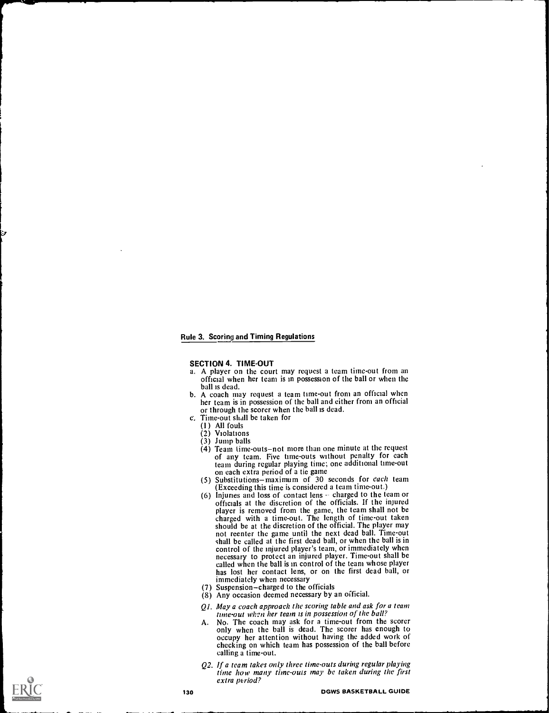#### Rule 3. Scoring and Timing Regulations

#### SECTION 4. TIME-OUT

- a. A player on the court may request a team time-out from an official when her team is in possession of the ball or when the ball is dead.
- b. A coach may request a team time-out from an official when her team is in possession of the ball and either from an official or through the scorer when the ball is dead.
- c. Time-out shall be taken for
	- (1) All fouls
	- (2) Violations
	-
	- $(3)$  Jump balls<br> $(4)$  Team time-outs-not more than one minute at the request of any team. Five time-outs without penalty for each team during regular playing time; one additional time-out
	- on each extra period of a tic game<br>(5) Substitutions—maximum of 30 seconds for *each* team (Exceeding this time is considered a team time-out.)
	- (6) Injuries and loss of contact lens  $-$  charged to the team or officials at the discretion of the officials. If the injured charged with a time-out. The length of time-out taken should be at the discretion of the official. The player may should be at the discretion of the official. The player may not reenter the game until the next dead ball. Time-out shall be called at the first dead ball, or when the ball is in control of the injured player's team, or immediately when necessary to protect an injured player. Time-out shall be has lost her contact lens, or on the first dead ball, or immediately when necessary
	- (7) Suspension-charged to the officials
	- (8) Any occasion deemed necessary by an official.
	- Ql. May a coach approach the scoring table and ask for a team
	- tune-out when her team is in possession of the ball?<br>No. The coach may ask for a time-out from the scorer A. No. The coach may ask for a time-out from the scorer only when the ball is dead. The scorer has enough to occupy her attention without having the added work of checking on which team has possession of the ball before calling a time-out.
	- Q2. If a team takes only three time-outs during regular playing time how many time-outs may be taken during the first extra period?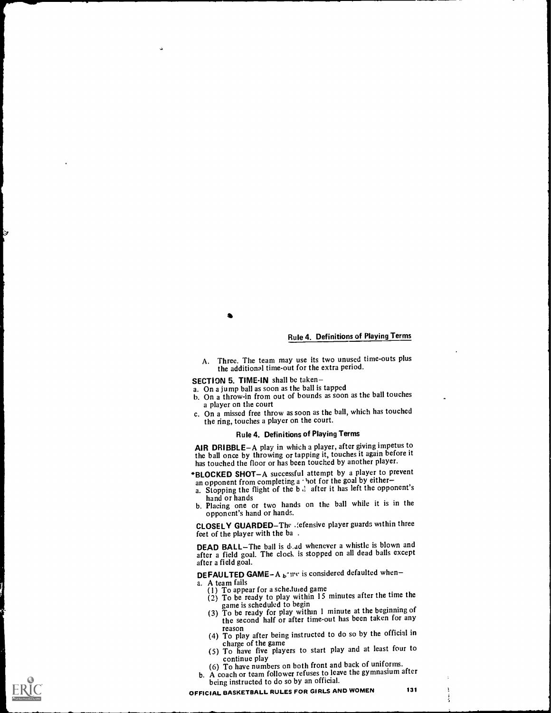$\bullet$  . The set of  $\bullet$ 

### Rule 4. Definitions of Playing Terms

A. Three. The team may use its two unused time-outs plus the additional time-out for the extra period.

SECTION 5. TIME-IN shall be taken-

- a. On a jump ball as soon as the ball is tapped
- b. On a throw-in from out of bounds as soon as the ball touches a player on the court
- c. On a missed free throw as soon as the ball, which has touched the ring, touches a player on the court.

#### Rule 4. Definitions of Playing Terms

AIR DRIBBLE-A play in which a player, after giving impetus to the ball once by throwing or tapping it, touches it again before it has touched the floor or has been touched by another player.

- \*BLOCKED SHOT-A successful attempt by a player to prevent an opponent from completing a hot for the goal by either-
- a. Stopping the flight of the  $b \cdot l$  after it has left the opponent's
- hand or hands b. Placing one or two hands on the ball while it is in the opponent's hand or hands.

CLOSELY GUARDED-The .jefensive player guards within three feet of the player with the ba .

DEAD BALL-The ball is d, ad whenever a whistle is blown and after a field goal. The clock is stopped on all dead balls except after a field goal.

DEFAULTED GAME-A  $_{b}$ -ire is considered defaulted when-

- a. A team fails
	- (1) To appear for a scheduled game
	- (2) To be ready to play within 15 minutes after the time the
	- game is scheduled to begin<br>(3) To be ready for play within 1 minute at the beginning of the second half or after time-out has been taken for any
	- reason (4) To play after being instructed to do so by the official in charge of the game
	- (5) To have five players to start play and at least four to
	- continue play (6) To have numbers on both front and back of uniforms.
- b. A coach or team follower refuses to leave the gymnasium after being instructed to do so by an official.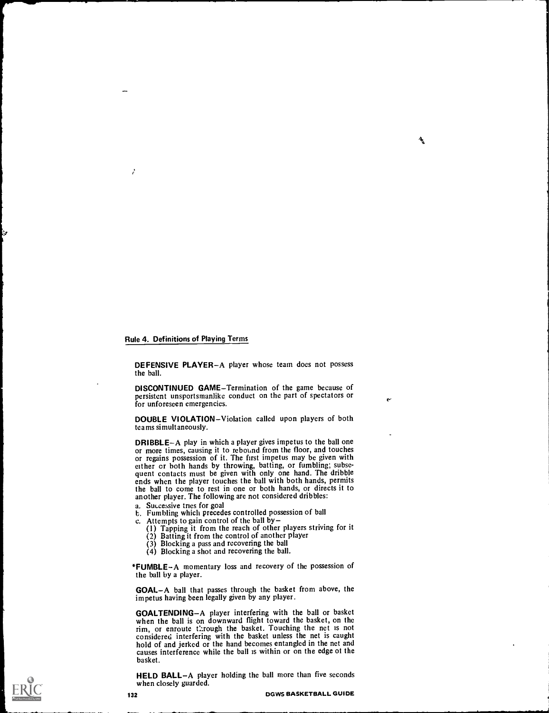#### Rule 4. Definitions of Playing Terms

Ź

DEFENSIVE PLAYER-A player whose team does not possess the ball.

ላ

DISCONTINUED GAME-Termination of the game because of persistent unsportsmanlike conduct on the part of spectators or for unforeseen emergencies.

DOUBLE VIOLATION-Violation called upon players of both tea ms simultaneously.

DRIBBLE-A play in which a player gives impetus to the ball one or more times, causing it to rebound from the floor, and touches or regains possession of it. The first impetus may be given with either or both hands by throwing, batting, or fumbling; subse- quent contacts must be given with only one hand. The dribble ends when the player touches the ball with both hands, permits the ball to come to rest in one or both hands, or directs it to another player. The following arc not considered dribbles:

- a. Successive tries for goal
- b. Fumbling which precedes controlled possession of ball
- c. Attempts to gain control of the ball by  $-$
- (1) Tapping it from the reach of other players striving for it (2) Batting it from the control of another player
	- (3) Blocking a pass and recovering the ball
	- (4) Blocking a shot and recovering the ball.

\*FUMBLE-A momentary loss and recovery of the possession of the ball by a player.

GOALA ball that passes through the basket from above, the impetus having been legally given by any player.

GOALTENDING-A player interfering with the ball or basket when the ball is on downward flight toward the basket, on the rim, or enroute through the basket. Touching the net is not considered interfering with the basket unless the net is caught hold of and jerked or the hand becomes entangled in the net and causes interference while the ball is within or on the edge 01 the basket.

HELD BALL-A player holding the ball more than five seconds when closely guarded.

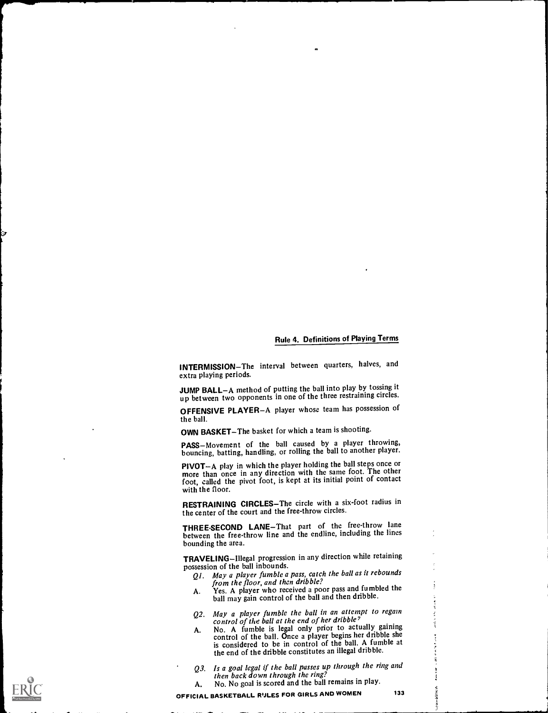#### Rule 4. Definitions of Playing Terms

INTERMISSION-The interval between quarters, halves, and extra playing periods.

JUMP BALL-A method of putting the ball into play by tossing it up between two opponents in one of the three restraining circles.

OFFENSIVE PLAYER-A player whose team has possession of the ball.

OWN BASKET-The basket for which a team is shooting.

PASS-Movement of the ball caused by a player throwing, bouncing, batting, handling, or rolling the ball to another player.

PIVOT-A play in which the player holding the ball steps once or more than once in any direction with the same foot. The other foot, called the pivot foot, is kept at its initial point of contact with the floor.

RESTRAINING CIRCLES-The circle with a six-foot radius in the center of the court and the free-throw circles.

THREE-SECOND LANE-That part of the free-throw lane between the free-throw line and the endline, including the lines bounding the area.

TRAVELING-Illegal progression in any direction while retaining possession of the ball inbounds.

- Q1. May a player fumble a pass, catch the ball as it rebounds from the floor, and then dribble?
- *from the floor, and then aribole!*<br>A. Yes. A player who received a poor pass and fumbled the ball may gain control of the ball and then dribble.
- Q2. May a player fumble the ball in an attempt to regain<br>control of the ball at the end of her dribble?
- A. No. A fumble is legal only prior to actually gaining control of the ball. Once a player begins her dribble she is considered to be in control of the ball. A fumble at the end of the dribble constitutes an illegal dribble.
- Q3. Is a goal legal if the ball passes up through the ring and then back down through the ring?
- A. No. No goal is scored and the ball remains in play.<br>NALL RASKETBALL RULES FOR GIRLS AND WOMEN 133 OFFICIAL BASKETBALL RIJLES FOR GIRLS AND WOMEN

Î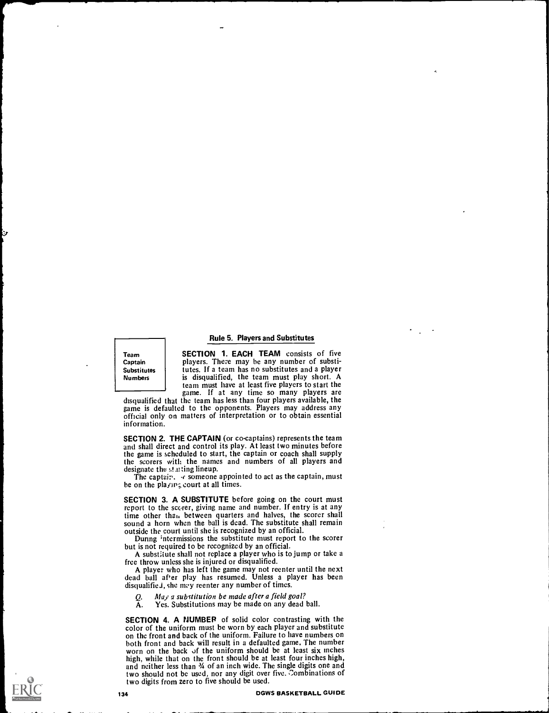#### Rule 5. Players and Substitutes

Team Captain Substitutes Numbers

SECTION 1. EACH TEAM consists of five players. There may be any number of substitutes. If a team has no substitutes and a player is disqualified, the team must play short. A team must have at least five players to start the

game. If at any time so many players are disqualified that the team has less than four players available, the game is defaulted to the opponents. Players may address any official only on matters of interpretation or to obtain essential information.

SECTION 2. THE CAPTAIN (or co-captains) represents the team and shall direct and control its play. At least two minutes before the game is scheduled to start, the captain or coach shall supply the scorers with the names and numbers of all players and designate the starting lineup.

The captair.  $\cdot$  someone appointed to act as the captain, must be on the playing court at all times.

SECTION 3. A SUBSTITUTE before going on the court must report to the scc<rer, giving name and number. If entry is at any time other than between quarters and halves, the scorer shall sound a horn when the ball is dead. The substitute shall remain outside the court until she is recognized by an official.

During intermissions the substitute must report to the scorer but is not required to be recognized by an official.

A substitute shall not replace a player who is to jump or take a

free throw unless she is injured or disqualified. dead ball after play has resumed. Unless a player has been disqualified, she may reenter any number of times.

 $Q.$  May a substitution be made after a field goal?<br>A. Yes. Substitutions may be made on any dead Yes. Substitutions may be made on any dead ball.

SECTION 4. A NUMBER of solid color contrasting with the color of the uniform must be worn by each player and substitute on the front and back of the uniform. Failure to have numbers on both front and back will result in a defaulted game. The number worn on the back of the uniform should be at least six inches high, while that on the front should be at least four inches high, and neither less than  $\frac{3}{4}$  of an inch wide. The single digits one and two should not be used, nor any digit over five. Combinations of two digits from zero to five should be used.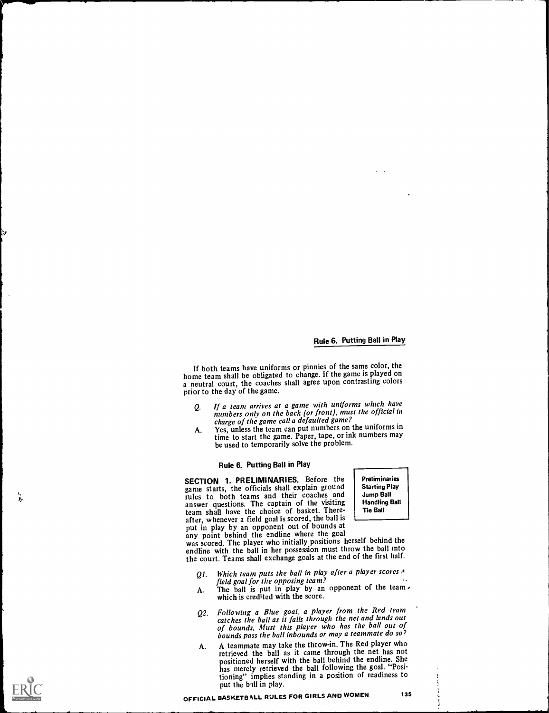If both teams have uniforms or pinnies of the same color, the home team shall be obligated to change. If the game is played on a neutral court, the coaches shall agree upon contrasting colors prior to the day of the game.

- Q. If a team arrives at a game with uniforms which have numbers only on the back (or front), must the official in charge of the game call a defaulted game?
- A. Yes, unless the team can put numbers on the uniforms in time to start the game. Paper, tape, or ink numbers may be used to temporarily solve the problem.

# Rule 6. Putting Ball in Play

SECTION 1. PRELIMINARIES. Before the game starts, the officials shall explain ground rules to both teams and their coaches and Jump Ba answer questions. The captain of the visiting  $\begin{bmatrix} \text{Handl} \\ \text{mod} \end{bmatrix}$ team shall have the choice of basket. Thereafter, whenever a field goal is scored, the ball is put in play by an opponent out of bounds at any point behind the endline where the goal

Preliminaries Starting Play Jump Ball Handling Ball Tie Ball

was scored. The player who initially positions herself behind the endline with the ball in her possession must throw the ball into the court. Teams shall exchange goals at the end of the first half.

- Q1. Which team puts the ball in play<br>field goal for the opposing team? Which team puts the ball in play after a player scores  $\rho$ .
- A. The ball is put in play by an opponent of the team. which is credited with the score.
- Q2. Following a Blue goal, a player from the Red team catches the ball as it falls through the net and lands out of bounds. Must this player who has the ball out of bounds pass the ball inbounds or may a teammate do so?
- A. A teammate may take the throw-in. The Red player who retrieved the ball as it came through the net has not positioned herself with the ball behind the endline. She has merely retrieved the ball following the goal. "Positioning" implies standing in a position of readiness to put the ball in play.



Ē.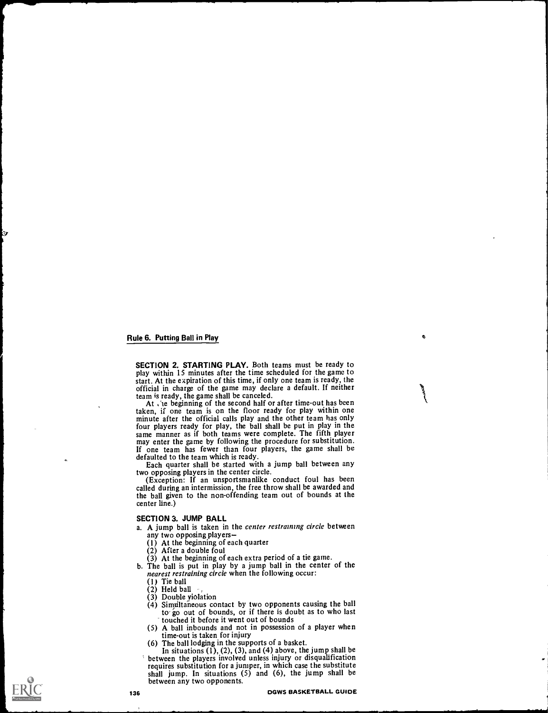SECTION 2. STARTING PLAY. Both teams must be ready to play within 15 minutes after the time scheduled for the game to start. At the expiration of this time, if only one team is ready, the official in charge of the game may declare a default. If neither team is ready, the game shall be canceled.

At , 'te beginning of the second half or after time-out has been taken, if one team is on the floor ready for play within one minute after the official calls play and the other team has only four players ready for play, the ball shall be put in play in the may enter the game by following the procedure for substitution. If one team has fewer than four players, the game shall be defaulted to the team which is ready.

Each quarter shall be started with a jump ball between any two opposing players in the center circle. (Exception: If an unsportsmanlike conduct foul has been

called during an intermission, the free throw shall be awarded and the ball given to the non-offending team out of bounds at the center line.)

#### SECTION 3. JUMP BALL

- a. A jump ball is taken in the center restraining circle between any two opposing players
	- (1) At the beginning of each quarter  $(2)$  After a double foul
	-
	-
- (3) At the beginning of each extra period of a tie game.<br>b. The ball is put in play by a jump ball in the center of the nearest restraining circle when the following occur:
	- (I) Tie ball
	-
	-
	- $(3)$  Double yiolation<br>(4) Simultaneous contact by two opponents causing the ball  $\frac{1}{2}$  substrainants contact bounds, or if there is doubt as to who last touched it before it went out of bounds
	- (5) A ball inbounds and not in possession of a player when time-out is taken for injury
	- (6) The ball lodging in the supports of a basket.
- In situations  $(1)$ ,  $(2)$ ,  $(3)$ , and  $(4)$  above, the jump shall be between the players involved unless injury or disqualification between the players involved unless injury or disqualification requires substitution for a jumper, in which case the substitute shall jump. In situations (5) and (6), the jump shall be between any two opponents.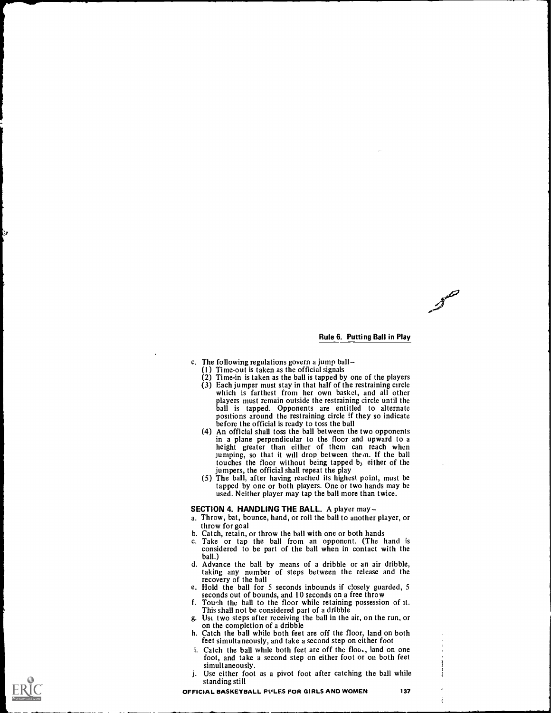- c. The following regulations govern a jump ball
	- (1 ) Time-out is taken as the official signals
	- (2) Time-in is taken as the ball is tapped by one of the players (3) Each jumper must stay in that half of the restraining circle which is farthest from her own basket, and all other players must remain outside the restraining circle until the ball is tapped. Opponents are entitled to alternate positions around the restraining circle if they so indicate before the official is ready to toss the ball
	- (4) An official shall toss the ball between the two opponents in a plane perpendicular to the floor and upward to a height greater than either of them can reach when jumping, so that it will drop between them. If the ball touches the floor without being tapped b; either of the jumpers, the official shall repeat the play
	- (5) The ball, after having reached its highest point, must be tapped by one or both players. One or two hands may be used. Neither player may tap the ball more than twice.

#### SECTION 4. HANDLING THE BALL. A player may-

- a. Throw, bat, bounce, hand, or roll the ball to another player, or
- 
- b. Catch, retain, or throw the ball with one or both hands<br>c. Take or tap the ball from an opponent. (The hand is<br>considered to be part of the ball when in contact with the<br>hall.)
- d. Advance the ball by means of a dribble or an air dribble, taking any number of steps between the release and the recovery of the ball
- e. Hold the ball for 5 seconds inbounds if closely guarded, 5 seconds out of bounds, and 10 seconds on a free throw
- f. Tou'h the ball to the floor while retaining possession of it. This shall not be considered part of a dribble
- g. Ust two steps after receiving the ball in the air, on the run, or
- h. Catch the ball while both feet are off the floor, land on both feet simultaneously, and take a second step on either foot
- i. Catch the ball while both feet are off the floo., land on one foot, and take a second step on either foot or on both feet simultaneously.
- j. Use either foot as a pivot foot after catching the ball while standing still

Ť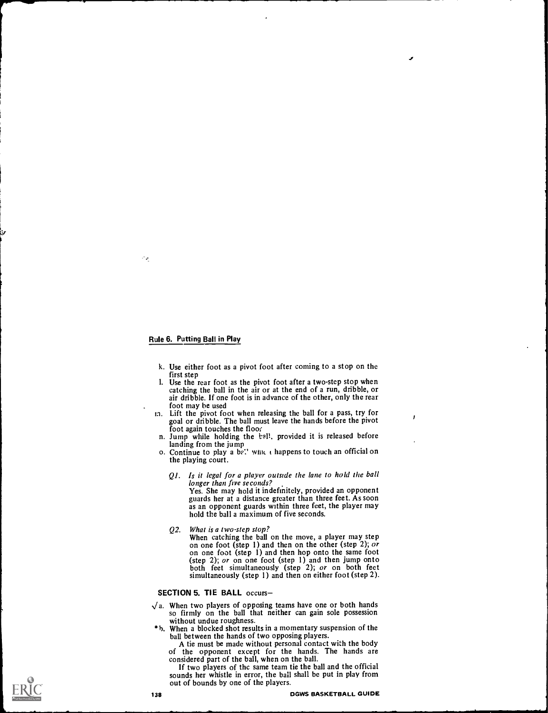÷е

- k. Use either foot as a pivot foot after coming to a stop on the first step
- 1. Use the rear foot as the pivot foot after a two-step stop when catching the ball in the air or at the end of a run, dribble, or air dribble. If one foot is in advance of the other, only the rear foot may be used
- in. Lift the pivot foot when releasing the ball for a pass, try for goal or dribble. The ball must leave the hands before the pivot foot again touches the floor
- n. Jump while holding the tall, provided it is released before
- landing from the jump o. Continue to play a be.' Which happens to touch an official on the playing court.
	- Ql. Is it legal for a player outside the lane to hold the ball longer than five seconds? Yes. She may hold it indefinitely, provided an opponent guards her at a distance greater than three feet. As soon as an opponent guards within three feet, the player may

hold the ball a maximum of five seconds.

Q2. What is a two-step stop?<br>When catching the ball on the move, a player may step<br>on one foot (step 1) and then on the other (step 2); or<br>on one foot (step 1) and then hop onto the same foot<br>(step 2); or on one foot (ste both feet simultaneously (step 2); or on both feet simultaneously (step 1) and then on either foot (step 2).

# SECTION 5. TIE BALL occurs-

- $\sqrt{a}$ . When two players of opposing teams have one or both hands so firmly on the ball that neither can gain sole possession without undue roughness.
- \*b. When a blocked shot results in a momentary suspension of the ball between the hands of two opposing players.
	- A tie must be made without personal contact with the body of the opponent except for the hands. The hands are
	- considered part of the ball, when on the ball.<br>If two players of the same team tie the ball and the official sounds her whistle in error, the ball shall be put in play from out of bounds by one of the players.

 $\mathbf{z}$ 

ł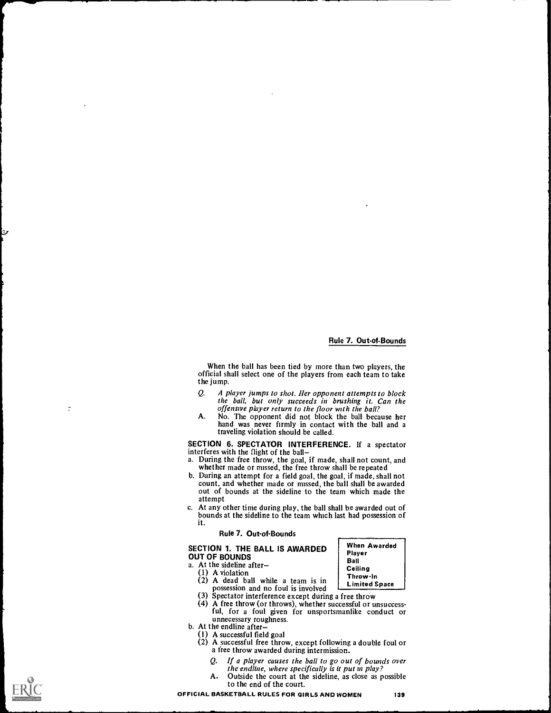## Rule 7. Out-of-Bounds

When Awarded Player Ball Ceiling Throw-In Limited Space

When the ball has been tied by more than two players, the official shall select one of the players from each team to take the jump.

- Q. A player jumps to shot. Her opponent attempts to block the ball, but only succeeds in brushing it. Can the
- offensive player return to the floor with the ball?<br>No. The opponent did not block the ball because her A. No. The opponent did not block the ball because her hand was never firmly in contact with the ball and a traveling violation should be called.

SECTION 6. SPECTATOR INTERFERENCE. If a spectator interferes with the flight of the ball

- a. During the free throw, the goal, if made, shall not count, and whether made or missed, the free throw shall be repeated
- b. During an attempt for a field goal, the goal, if made, shall not count, and whether made or missed, the ball shall be awarded out of bounds at the sideline to the team which made the attempt
- c. At any other time during play, the ball shall be awarded out of bounds at the sideline to the team which last had possession of it.

#### Rule 7. Out-of-Bounds

SECTION 1. THE BALL IS AWARDED OUT OF BOUNDS

- a. At the sideline after
- (1) A violation
- (2) A dead ball while a team is in
- possession and no foul is involved
- (3) Spectator interference except during a free throw<br>(4) A free throw (or throws), whether successful or unsuccessful, for a foul given for unsportsmanlike conduct or unnecessary roughness.<br>b. At the endline after-
- -
	- (1) A successful field goal (2) A successful free throw, except following a double foul or a free throw awarded during intermission.
		- Q. If a player causes the ball to go out of bounds over the endline, where specifically is it put in play?
		- A. Outside the court at the sideline, as close as possible to the end of the court.



 $\frac{1}{\kappa}$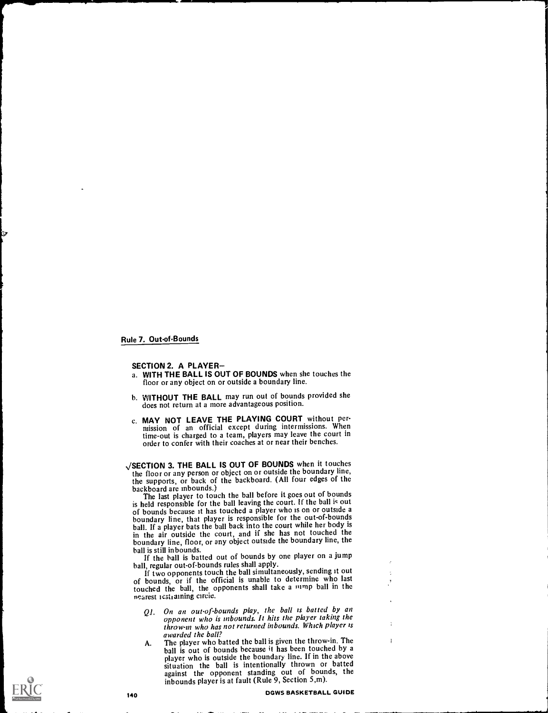Rule 7. Out-of-Bounds

#### SECTION 2. A PLAYER

- a. WITH THE BALL IS OUT OF BOUNDS when she touches the floor or any object on or outside a boundary line.
- b. WITHOUT THE BALL may run out of bounds provided she does not return at a more advantageous position.
- c. MAY NOT LEAVE THE PLAYING COURT without permission of an official except during intermissions. When time-out is charged to a team, players may leave the court in order to confer with their coaches at or near their benches.

/SECTION 3. THE BALL IS OUT OF BOUNDS when it touches the floor or any person or object on or outside the boundary line, the supports, or back of the backboard. (All four edges of the

backboard are inbounds.) The last player to touch the ball before it goes out of bounds is held responsible for the ball leaving the court. If the ball is out of bounds because it has touched a player who is on or outside a boundary line, that player is responsible for the out-of-bounds ball. If a player bats the ball back into the court while her body is in the air outside the court, and if she has not touched the boundary line, floor, or any object outside the boundary line, the ball is still inbounds.

If the ball is batted out of bounds by one player on a jump ball, regular out-of-bounds rules shall apply.

If two opponents touch the ball simultaneously, sending it out of bounds, or if the official is unable to determine who last touched the ball, the opponents shall take a lump ball in the nearest icstraining circle.

- Ql. On an outof-bounds play, the ball is batted by an opponent who is inbounds. It hits the player taking the throw-in who has not returned inbounds. Which player is awarded the ball?
- A. The player who batted the ball is given the throw-in. The ball is out of bounds because it has been touched by a player who is outside the boundary line. If in the above situation the ball is intentionally thrown or batted against the opponent standing out of bounds, the inbounds player is at fault (Rule 9, Section 5,m).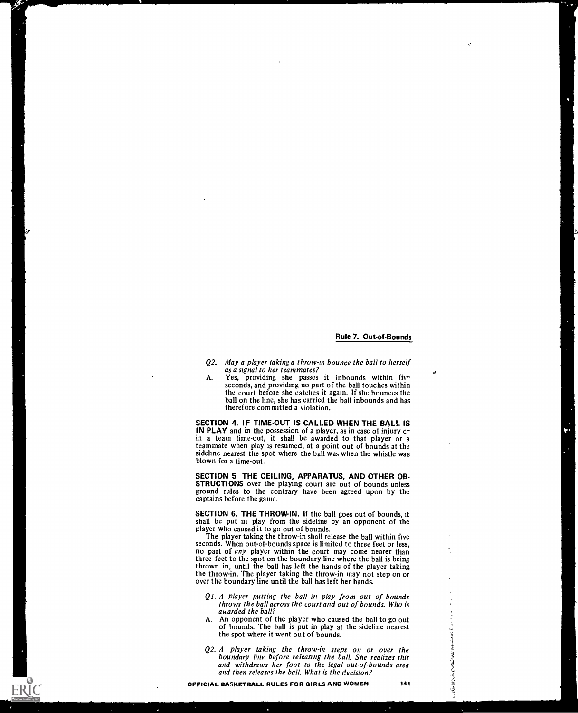#### Rule 7. Out-of-Bounds

t.,

- Q2. May a player taking a throw-in bounce the ball to herself as a signal to her teammates?
- A. Yes, providing she passes it inbounds within five seconds, and providing no part of the ball touches within the court before she catches it again. If she bounces the ball on the line, she has carried the ball inbounds and has therefore committed a violation.

SECTION 4. IF TIME-OUT IS CALLED WHEN THE BALL IS IN PLAY and in the possession of a player, as in case of injury  $c<sup>T</sup>$ in a team time-out, it shall be awarded to that player or a teammate when play is resumed, at a point out of bounds at the sideline nearest the spot where the ball was when the whistle was blown for a time-out.

SECTION 5. THE CEILING, APPARATUS, AND OTHER OB-STRUCTIONS over the playing court are out of bounds unless ground rules to the contrary have been agreed upon by the captains before the game.

SECTION 6. THE THROW-IN. If the ball goes out of bounds, it shall be put in play from the sideline by an opponent of the player who caused it to go out of bounds.

The player taking the throw-in shall release the ball within five seconds. When out-of-bounds space is limited to three feet or less, no part of *any* player within the court may come nearer than three feet to the spot on the boundary line where the ball is being thrown in, until the ball has left the hands of the player taking the throw-in. The player taking the throw-in may not step on or over the boundary line until the ball has left her hands.

- Ql. A player putting the ball in play from out of bounds throws the ball across the court and out of bounds. Who is awarded the ball?
- A. An opponent of the player who caused the ball to go out of bounds. The ball is put in play at the sideline nearest the spot where it went out of bounds.
- of bounds. The ball is put in play at the sideline nearest<br>the spot where it went out of bounds.<br>Q2. A player taking the throw-in steps on or over the<br>boundary line before releasing the ball. She realizes this<br>and withdra boundary line before releasing the ball. She realizes this and withdraws her foot to the legal out-of-bounds area and then releases the ball. What is the decision?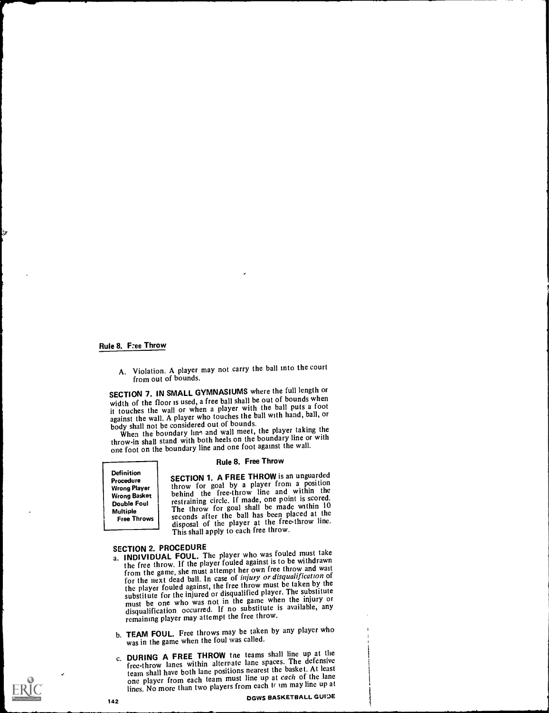#### Rule 8. Free Throw

A. Violation. A player may not carry the ball into the court from out of bounds.

SECTION 7. IN SMALL GYMNASIUMS where the full length or width of the floor is used, a free ball shall be out of bounds when it touches the wall or when a player with the ball puts a foot against the wall. A player who touches the ball with hand, ball, or body shall not be considered out of bounds.

When the boundary line and wall meet, the player taking the throw-in shall stand with both heels on the boundary line or with one foot on the boundary line and one foot against the wall.

Definition Procedure Wrong Player Wrong Basket Double Foul Multiple Free Throws

#### Rule 8. Free Throw

SECTION 1. A FREE THROW is an unguarded throw for goal by a player from a position behind the free-throw line and within the restraining circle. If made, one point is scored. The throw for goal shall be made within 10 seconds after the ball has been placed at the disposal of the player at the free-throw line. This shall apply to each free throw.

- SECTION 2. PROCEDURE<br>a. INDIVIDUAL FOUL. The player who was fouled must take<br>intervalse of the player fouled against is to be withdrawn the free throw. If the player fouled against is to be withdrawn from the game, she must attempt her own free throw and wait for the next dead ball. In case of injury or disqualification of the player fouled against, the free throw must be taken by the substitute for the injured or disqualified player. The substitute must be one who was not in the game when the injury or disqualification occurred. If no substitute is available, any remaining player may attempt the free throw.
- b. TEAM FOUL. Free throws may be taken by any player who was in the game when the foul was called.
- c. DURING A FREE THROW tne teams shall line up at the free-throw lanes within alternate lane spaces. The defensive team shall have both lane positions nearest the basket. At least one player from each team must line up at each of the lane lines. No more than two players from each tr im may line up at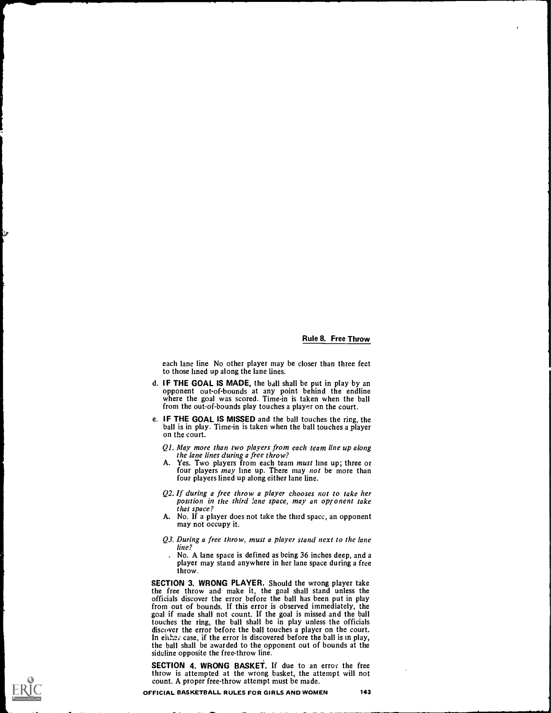#### Rule 8. Free Throw

each lane line No other player may be closer than three feet to those lined up along the lane lines.

- d. IF THE GOAL IS MADE, the ball shall be put in play by an opponent out-of-bounds at any point behind the endline where the goal was scored. Time-in is taken when the ball from the out-of-bounds play touches a player on the court.
- e. IF THE GOAL IS MISSED and the ball touches the ring, the ball is in play. Time-in is taken when the ball touches a player on the court.
	- Ql. May more than two players from each team line up along the lane lines during a free throw?
	- A. Yes. Two players from each team *must* line up; three or four players *may* line up. There may *not* be more than four players lined up along either lane line.
	- $Q2$ . If during a free throw a player chooses not to take her position in the third lane space, may an opponent take that space?
	- A. No. If a player does not take the third space, an opponent may not occupy it.
	- Q3. During a free throw, must a player stand next to the lane line?
		- . No. A lane space is defined as being 36 inches deep, and a player may stand anywhere in her lane space during a free throw.

SECTION 3. WRONG PLAYER. Should the wrong player take the free throw and make it, the goal shall stand unless the officials discover the error before the ball has been put in play from out of bounds. If this error is observed immediately, the goal if made shall not count. If the goal is missed and the ball<br>touches the ring, the ball shall be in play unless the officials<br>discover the error before the ball touches a player on the court.<br>In either case, if the err the ball shall be awarded to the opponent out of bounds at the sideline opposite the free-throw line.

SECTION 4. WRONG BASKET. If due to an error the free throw is attempted at the wrong basket, the attempt will not count. A proper free-throw attempt must be made.

OFFICIAL BASKETBALL RULES FOR GIRLS AND WOMEN 143

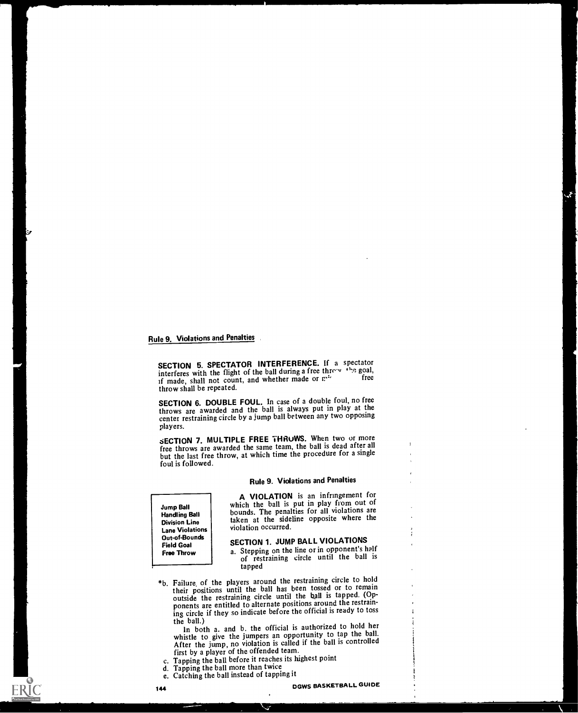SECTION 5. SPECTATOR INTERFERENCE. If a spectator interferes with the flight of the ball during a free three  $v^{(1)}$ , "so goal, if made, shall not count, and whether made or n<sup>\*</sup> throw shall be repeated.

SECTION 6. DOUBLE FOUL. In case of a double foul, no free throws are awarded and the ball is always put in play at the center restraining circle by a jump ball between any two opposing players.

SECTION 7. MULTIPLE FREE THRUWS. When two or more free throws are awarded the same team, the ball is dead after all but the last free throw, at which time the procedure for a single foul is followed.

# Rule 9. Violations and Penalties

Jump Ball Handling Ball Division Line Lane Violations Out-of-Bounds Field Goal Free Throw

A VIOLATION is an infringement for which the ball is put in play from out of bounds. The penalties for all violations are taken at the sideline opposite where the violation occurred.

# SECTION 1. JUMP BALL VIOLATIONS

a. Stepping on the line or in opponent's half of restraining circle until the ball is tapped

\*b. Failure, of the players around the restraining circle to hold their positions until the ball has been tossed or to remain outside the restraining circle until the ball is tapped. (Opponents are entitled to alternate positions around the restraining circle if they so indicate before the official is ready to toss

In both a. and b. the official is authorized to hold her whistle to give the jumpers an opportunity to tap the ball. After the jump, no violation is called if the ball is controlled first by a player of the offended team.

- c. Tapping the ball before it reaches its highest point
- d. Tapping the ball more than twice
- e. Catching the ball instead of tapping it

×

 $\ddot{\cdot}$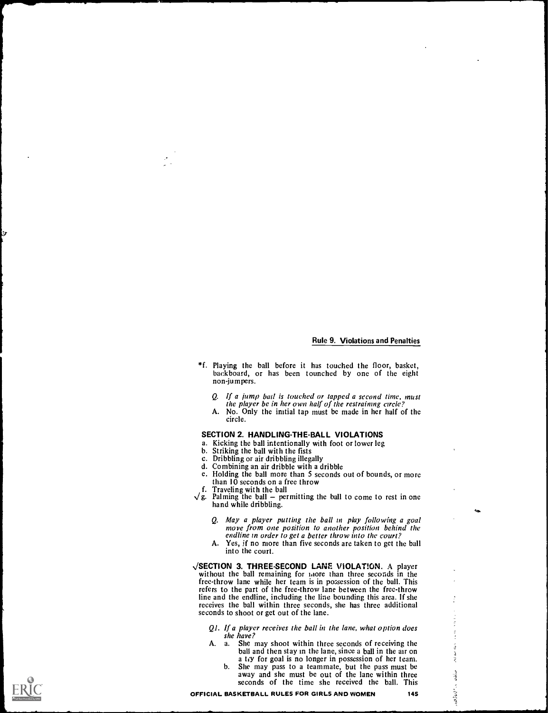$\tilde{\phantom{a}}$ 

一个是有

- \*f. Playing the ball before it has touched the floor, basket, backboard, or has been tounched by one of the eight non-jumpers.
	- Q. If a jump bad is touched or tapped a second time, must the player be in her own half of the restraining circle?
	- A. No. Only the initial tap must be made in her half of the circle.

#### SECTION 2. HANDLING-THE-BALL VIOLATIONS

- a. Kicking the ball intentionally with foot or lower leg
- b. Striking the ball with the fists
- c. Dribbling or air dribbling illegally
- d. Combining an air dribble with a dribble
- e. Holding the ball more than 5 seconds out of bounds, or more than  $10$  seconds on a free throw<br>Traveling with the ball
- 
- f. Traveling with the ball  $\sqrt{g}$ . Palming the ball permitting the ball to come to rest in one hand while dribbling.
	- Q. May a player putting the ball in play following a goal move from one position to another position behind the endline in order to get a better throw into the court?
	- A. Yes, if no more than five seconds are taken to get the ball into the court.
- /SECTION 3. THREE-SECOND LANE VIOLAT!ON. A player without the ball remaining for idore than three seconds in the free-throw lane while her team is in possession of the ball. This refers to the part of the free-throw lane between the free-throw line and the endline, including the line bounding this area. If she receives the ball within three seconds, she has three additional seconds to shoot or get out of the lane.
	- Ql. If a player receives the ball in the lane, what option does she have?
	- A. a. She may shoot within three seconds of receiving the She may shoot within three seconds of receiving the<br>ball and then stay in the lane, since a ball in the air on<br>a tiy for goal is no longer in possession of her team. a tiy for goal is no longer in possession of her team.
		- b. She may pass to a teammate, but the pass must be away and she must be out of the lane within three seconds of the time she received the ball. This seconds of the time she received the ball. This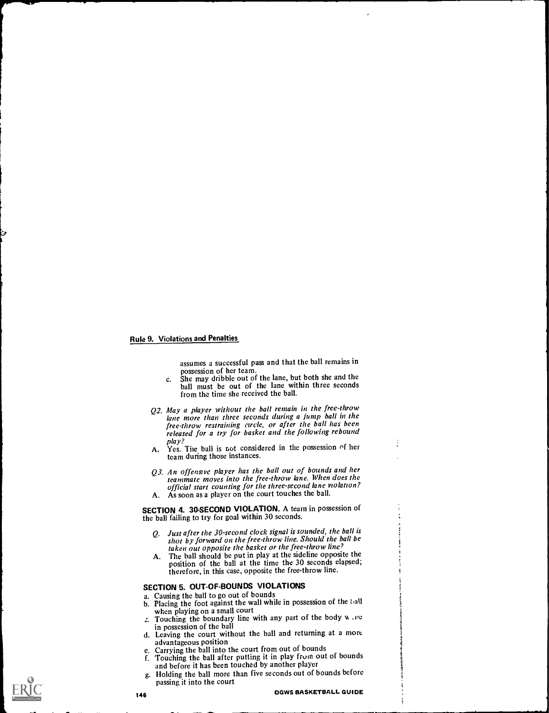assumes a successful pass and that the ball remains in possession of her team.

- c. She may dribble out of the lane, but both she and the ball must be out of the lane within three seconds from the time she received the ball.
- Q2. May a player without the ball remain in the free-throw lane more than three seconds during a jump ball in the free-throw restraining circle, or after the ball has been released for a try for basket and the following rebound
- play? A. Yes. The ball is not considered in the possession of her team during those instances.
- Q3. An offensive player has the ball out of bounds and her teammate moves into the free-throw lane. When does the official start counting for the three-second lane violation? A. As soon as a player on the court touches the ball.
- 

SECTION 4. 30-SECOND VIOLATION. A team in possession of the ball failing to try for goal within 30 seconds.

- Q. Just after the 30-second clock signal is sounded, the ball is shot by forward on the free-throw line. Should the ball be taken out opposite the basket or the free-throw line'
- A. The ball should be put in play at the sideline opposite the position of the ball at the time the 30 seconds elapsed; therefore, in this case, opposite the free-throw line.

# SECTION 5. OUT-OF-BOUNDS VIOLATIONS a. Causing the ball to go out of bounds

- 
- b. Placing the foot against the wall while in possession of the tall when playing on a small court
- $\therefore$  Touching the boundary line with any part of the body w, we in possession of the ball
- d. Leaving the court without the ball and returning at a more advantageous position
- c. Carrying the ball into the court from out of bounds
- f. Touching the ball after putting it in play fruin out of bounds and before it has been touched by another player
- Holding the ball more than five seconds out of bounds before g. Holding the ball more t<br>passing it into the court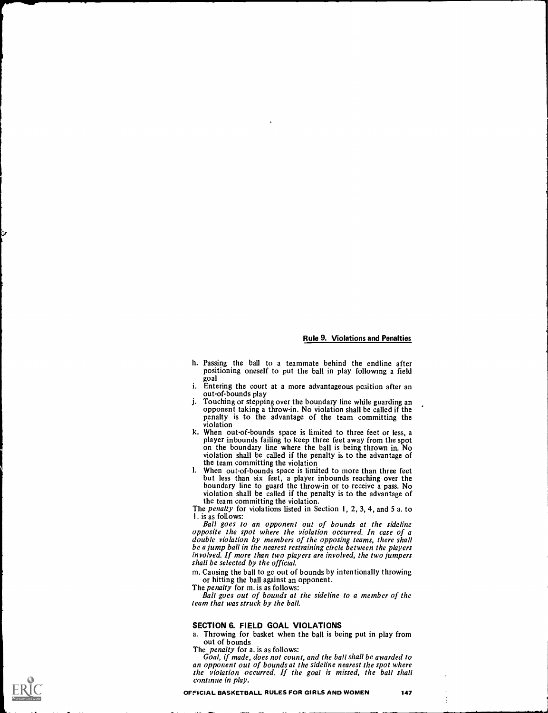- h. Passing the ball to a teammate behind the endline after positioning oneself to put the ball in play following a field goal
- i. Entering the court at a more advantageous position after an out-of-bounds play
- j. Touching or stepping over the boundary line while guarding an opponent taking a throw-in. No violation shall be called if the penalty is to the advantage of the team committing the
- violation<br>k. When out-of-bounds space is limited to three feet or less, a k. When out-of-bounds space is limited to three feet or less, a player inbounds failing to keep three feet away from the spot on the boundary line where the ball is being thrown in. No violation shall be called if the penalty is to the advantage of the team committing the violation<br>When out-of-bounds space is limited to more than three feet
- I. When out-of-bounds space is limited to more than three feet<br>but less than six feet, a player inbounds reaching over the<br>boundary line to guard the throw-in or to receive a pass. No<br>violation shall be called if the penal the team committing the violation.

The *penalty* for violations listed in Section 1, 2, 3, 4, and 5 a. to 1. is as follows:

Ball goes to an opponent out of bounds at the sideline opposite the spot where the violation occurred. In case of a double violation by members of the opposing teams, there shall be a jump ball in the nearest restraining circle between the players involved. If more than two players are involved, the two jumpers shall be selected by the official.

m. Causing the ball to go out of bounds by intentionally throwing or hitting the ball against an opponent.<br>The *penalty* for m. is as follows:

Ball goes out of bounds at the sideline to a member of the team that was struck by the ball.

#### SECTION 6. FIELD GOAL VIOLATIONS

a. Throwing for basket when the ball is being put in play from out of bounds<br>The *penalty* for a. is as follows:

Goal, if made, does not count, and the ball shall be awarded to an opponent out of bounds at the sideline nearest the spot where the violation occurred. If the goal is missed, the ball shall continue in play.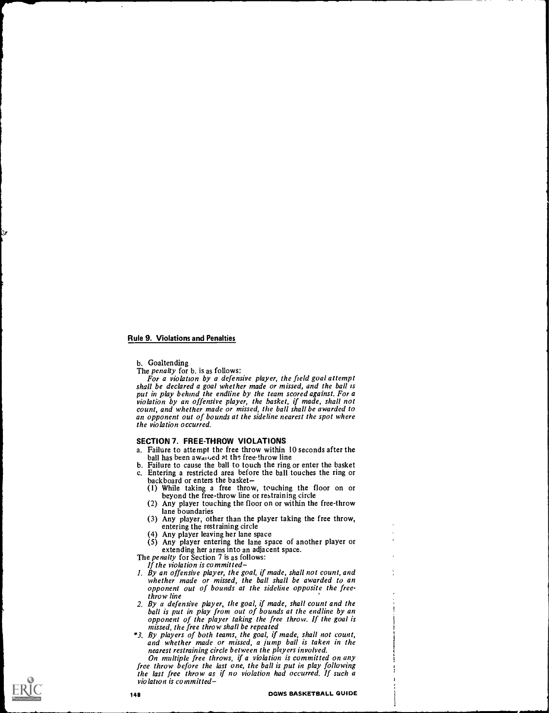b. Goaltending

The penalty for b. is as follows:

For a violation by a defensive player, the field goal attempt shall be declared a goal whether made or missed, and the ball is put in play behind the endline by the team scored against. For a violation by an offensive player, the basket, if made, shall not count, and whether made or missed, the ball shall be awarded to an opponent out of bounds at the sideline nearest the spot where the violation occurred.

## SECTION 7. FREE-THROW VIOLATIONS

- a. Failure to attempt the free throw within 10 seconds after the ball has been awaited at the free-throw line
- b. Failure to cause the ball to touch the ring or enter the basket c. Entering a restricted area before the ball touches the ring or backboard or enters the basket
	- (1) While taking a free throw, touching the floor on or beyond the free-throw line or restraining circle
	- (2) Any player touching the floor on or within the free-throw lane boundaries
	- (3) Any player, other than the player taking the free throw, entering the restraining circle
	- (4) Any player leaving her lane space
	- (5) Any player entering the lane space of another player or extending her arms into an adjacent space.

The *penalty* for Section 7 is as follows: If the violation is committed

- 1. By an offensive player, the goal, if made, shall not count, and whether made or missed, the ball shall be awarded to an opponent out of bounds at the sideline opposite the freethrow line
- 2. By a defensive player, the goal, if made, shall count and the ball is put in play from out of bounds at the endline by an opponent of the player taking the free throw. If the goal is missed, the free throw shall be repeated<br>\*3. By players of both teams, the goal, if made, shall not count,
- \*3. By players of both teams, the goal, if made, shall not count, and whether made or missed, a jump ball is taken in the nearest restraining circle between the players involved.

On multiple free throws, if a violation is committed on any free throw before the last one, the ball is put in play following the last free throw as if no violation had occurred. If such a violation is committed-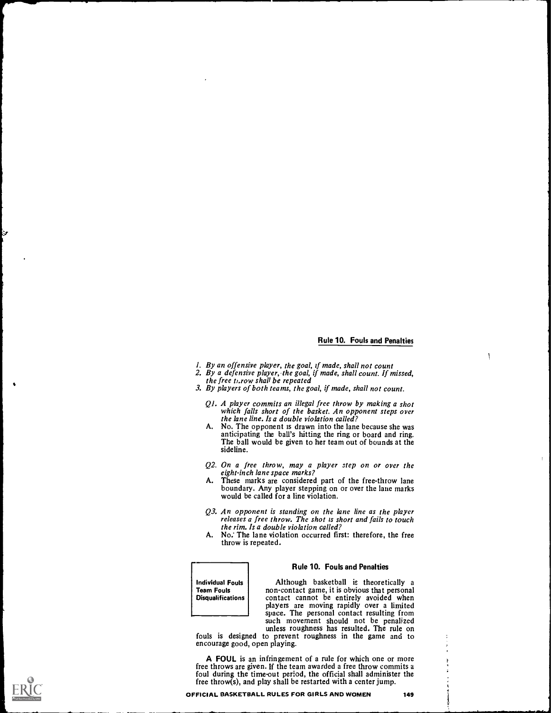١

- I. By an offensive player, the goal, if made, shall not count
- 2. By a defensive player, the goal, if made, shall count. If missed, the free throw shall be repeated
- 3. By players of both teams, the goal, if made, shall not count.
	- Ql. A player commits an illegal free throw by making a shot which falls short of the basket. An opponent steps over the lane line. Is a double violation called?<br>No. The opponent is drawn into the lane because she was
	- A. No. The opponent is drawn into the lane because she was anticipating the ball's hitting the ring or board and ring. The ball would be given to her team out of bounds at the sideline.
	- Q2. On a free throw, may a player step on or over the eight-inch lane space marks?
	- A. These marks are considered part of the free-throw lane boundary. Any player stepping on or over the lane marks would be called for a line violation.
	- Q3. An opponent is standing on the lane line as the player releases a free throw. The shot is short and fails to touch the rim. Is a double violation called?
	- A. No: The lane violation occurred first: therefore, the free throw is repeated.

Team Fouls **Disqualifications** 

#### Rule 10. Fouls and Penalties

Individual Fouls **Individual Communist Although** basketball is theoretically a non-contact game, it is obvious that personal Although basketball is theoretically <sup>a</sup>non-contact game, it is obvious that personal contact cannot be entirely avoided when players are moving rapidly over a limited space. The personal contact resulting from such movement should not be penalized

unless roughness has resulted. The rule on fouls is designed to prevent roughness in the game and to encourage good, open playing.

A FOUL is an infringement of a rule for which one or more free throws are given. If the team awarded a free throw commits a foul during the timeout period, the official shall administer the free throw(s), and play shall be restarted with a center jump.

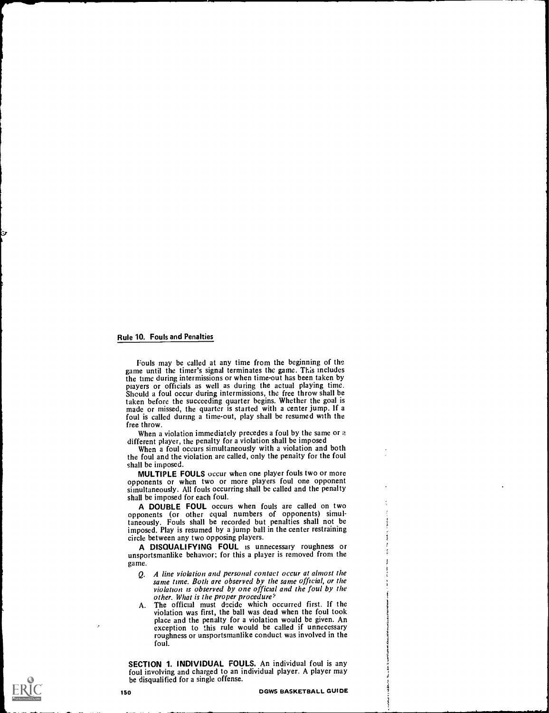Fouls may be called at any time from the beginning of the game until the timer's signal terminates the game. This includes the time during intermissions or when time-out has been taken by players or officials as well as during the actual playing time. Should a foul occur during intermissions, the free throw shall be taken before the succeeding quarter begins. Whether the goal is made or missed, the quarter is started with a center jump. If a foul is called during a time-out, play shall be resumed with the free throw.

When a violation immediately precedes a foul by the same or a different player, the penalty for a violation shall be imposed

When a foul occurs simultaneously with a violation and both the foul and the violation are called, only the penalty for the foul shall be imposed.

MULTIPLE FOULS occur when one player fouls two or more opponents or when two or more players foul one opponent simultaneously. All fouls occurring shall be called and the penalty shall be imposed for each foul.

A DOUBLE FOUL occurs when fouls are called on two opponents (or other equal numbers of opponents) simultaneously. Fouls shall be recorded but penalties shall not be imposed. Play is resumed by a jump ball in the center restraining circle between any two opposing players.

A DISQUALIFYING FOUL is unnecessary roughness or unsportsmanlike behavior; for this a player is removed from the game.

- Q. A line violation and personal contact occur at almost the violation is observed by one official and the foul by the other. What is the proper procedure?
- A. The official must decide which occurred first. If the violation was first, the ball was dead when the foul took place and the penalty for a violation would be given. An exception to this rule would be called if unnecessary roughness or unsportsmanlike conduct was involved in the foul.

SECTION 1. INDIVIDUAL FOULS. An individual foul is any foul involving and charged to an individual player. A player may be disqualified for a single offense.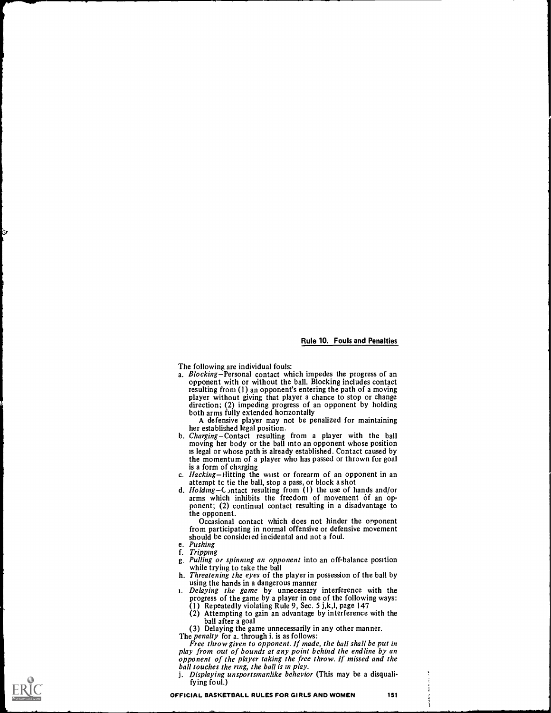- The following are individual fouls:<br>a. Blocking-Personal contact which impedes the progress of an opponent with or without the ball. Blocking includes contact player without giving that player a chance to stop or change direction; (2) impeding progress of an opponent by holding both arms fully extended horizontally
	- A defensive player may not be penalized for maintaining<br>her established legal position.
- b. Charging-Contact resulting from a player with the ball moving her body or the ball into an opponent whose position is legal or whose path is already established. Contact caused by the momentum of a player who has passed or thrown for goal<br>is a form of charging
- c. *Hacking*-Hitting the wist or forearm of an opponent in an attempt to tie the ball, stop a pass, or block a shot
- d. Holding Contact resulting from (1) the use of hands and/or arms which inhibits the freedom of movement of an opponent; (2) continual contact resulting in a disadvantage to

Occasional contact which does not hinder the opponent from participating in normal offensive or defensive movement should be considered incidental and not a foul.

e. Pushing<br>f. Tripping

**I** 

- 
- g. Pulling or spinning an opponent into an off-balance position while trying to take the ball
- h. Threatening the eyes of the player in possession of the ball by using the hands in a dangerous manner
- i. Delaying the game by unnecessary interference with the progress of the game by a player in one of the following ways:
	- (1) Repeatedly violating Rule 9, Sec. 5 j,k,l, page 147 (2) Attempting to gain an advantage by interference with the
- (3) Delaying the game unnecessarily in any other manner.<br>The *penalty* for a. through i. is as follows:

Free throw given to opponent. If made, the ball shall be put in play from out of bounds at any point behind the endline by an opponent of the player taking the free throw. If missed and the ball touches the ring, the ball is in play.

j. Displaying unsportsmanlike behavior (This may be a disqualifying foul.)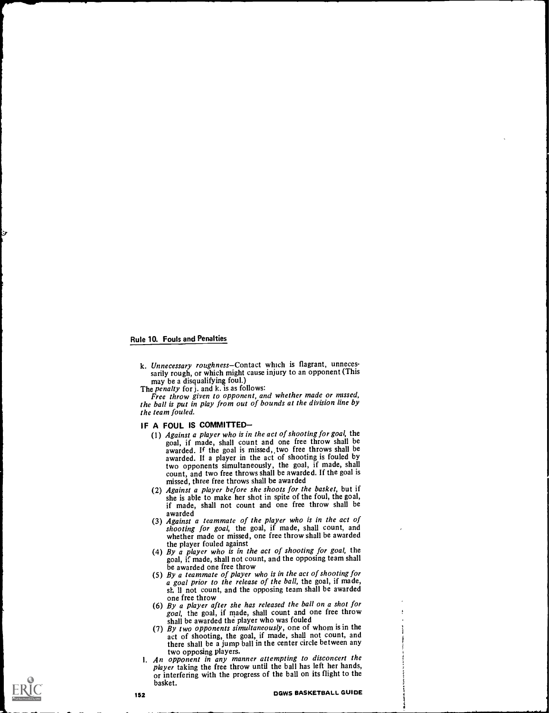k. Unnecessary roughness-Contact which is flagrant, unnecessarily rough, or which might cause injury to an opponent (This may be a disqualifying foul.)

may be a disqualifying foul.)<br>The penalty for j. and k. is as follows:<br>Free throw given to opponent, and whether made or missed, the ball is put in play from out of bounds at the division line by the team fouled.

- IF A FOUL IS COMMITTED-<br>(1) Against a player who is in the act of shooting for goal, the goal, if made, shall count and one free throw shall be awarded. If the goal is missed, two free throws shall be awarded. If the goal is missed, two free throws shall be awarded. If a player in the act of shooting is fouled by two opponents simultaneously, the goal, if made, shall count, and two free throws shall be awarded. If the goal is missed, three free throws shall be awarded<br>(2) Against a player before she shoots for the basket, but if
	- she is able to make her shot in spite of the foul, the goal, if made, shall not count and one free throw shall be awarded
	- (3) Against a teammate of the player who is in the act of shooting for goal, the goal, if made, shall count, and whether made or missed, one free throw shall be awarded the player fouled against
	- the player fouled against<br>(4) By a player who is in the act of shooting for goal, the goal, if made, shall not count, and the opposing team shall be awarded one free throw
	- (5) By a teammate of player who is in the act of shooting for a goal prior to the release of the ball, the goal, if made, sf. 11 not count, and the opposing team shall be awarded
	- (6) By a player after she has released the ball on a shot for goal, the goal, if made, shall count and one free throw
	- shall be awarded the player who was fouled<br>(7) By two opponents simultaneously, one of whom is in the act of shooting, the goal, if made, shall not count, and there shall be a jump ball in the center circle between any two opposing players.
- 1. An opponent in any manner attempting to disconcert the player taking the free throw until the ball has left her hands, or interfering with the progress of the ball on its flight to the basket.

I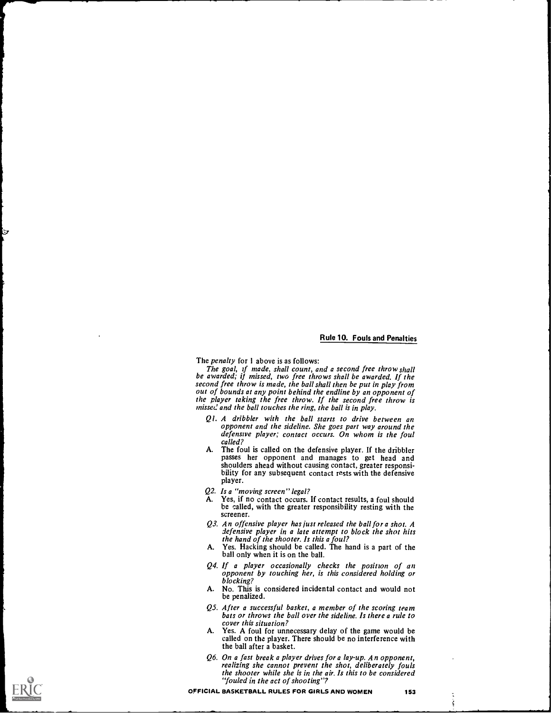The *penalty* for 1 above is as follows:

The goal, if made, shall count, and a second free throw shall be awarded; if missed, two free throws shall be awarded. If the second free throw is made, the ball shall then be put in play from out of bounds at any point behind the endline by an opponent of the player taking the free throw. If the second free throw is missed and the ball touches the ring, the ball is in play.

- Ql. A dribbler with the ball starts to drive between an opponent and the sideline. She goes part way around the defensive player; contact occurs. On whom is the foul called?
- A. The foul is called on the defensive player. If the dribbler passes her opponent and manages to get head and shoulders ahead without causing contact, greater responsibility for any subsequent contact rests with the defensive player.
- $Q2.$  Is a "moving screen" legal?<br>A. Yes. if no contact occurs.
- Yes, if no contact occurs. If contact results, a foul should be called, with the greater responsibility resting with the screener.
- Q3. An offensive player has just released the ball for a shot. A defensive player in a late attempt to block the shot hits the hand of the shooter. Is this a foul?
- A. Yes. Hacking should be called. The hand is a part of the ball only when it is on the ball.
- Q4. If a player occasionally checks the positron of an opponent by touching her, is this considered holding or blocking?
- A. No. This is considered incidental contact and would not be penalized.
- QS. After a successful basket, a member of the scoring team bats or throws the ball over the sideline. Is there a rule to cover this situation?
- A. Yes. A foul for unnecessary delay of the game would be called on the player. There should be no interference with the ball after a basket.
- Q6. On a fast break a player drives for a lay-up. An opponent, realizing she cannot prevent the shot, deliberately fouls the shooter while she is in the air. Is this to be considered "fouled in the act of shooting"?

 $\frac{1}{2}$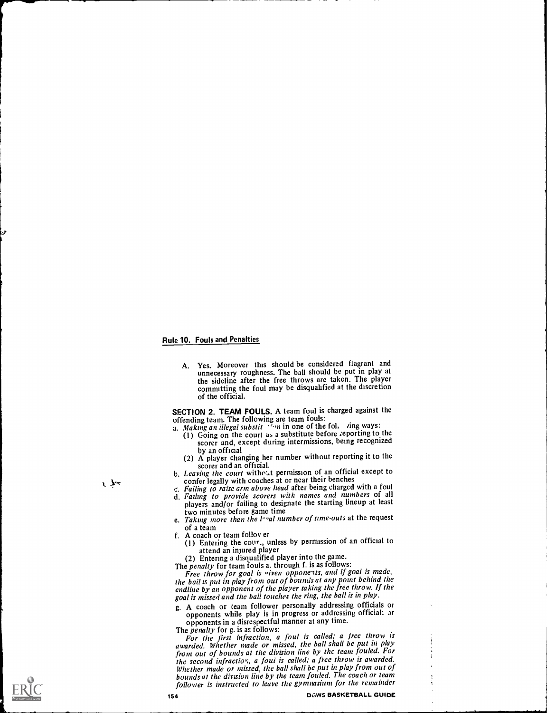A. Yes. Moreover this should be considered flagrant and unnecessary roughness. The ball should be put in play at the sideline after the free throws are taken. The player committing the foul may be disqualified at the discretion of the official.

SECTION 2. TEAM FOULS. A team foul is charged against the

- offending team. The following are team fouls:<br>a. Making an illegal substit (1990) in one of the fol, ring ways:
	- (I) Going on the court as a substitute before ;eporting to the scorer and, except during intermissions, being recognized<br>by an official
	- (2) A player changing her number without reporting it to the scorer and an official.
- b. Leaving the court without permission of an official except to confer legally with coaches at or near their benches
- Failing to raise arm above head after being charged with a foul
- d. Failing to provide scorers with names and numbers of all players and/or failing to designate the starting lineup at least two minutes before game time

e. Taking more than the  $l$ -ral number of time-outs at the request of a team

- of a team
- f. A coach or team follov er (I) Entering the cour., unless by permission of an official to attend an injured player
	- (2) Entering a disqualified player into the game.

The *penalty* for team fouls a. through f. is as follows:

Free throw for goal is given opponents, and if goal is made, the bail is put in play from out of bounds at any point behind the endline by an opponent of the player taking the free throw. If the goal is missed and the ball touches the ring, the ball is in play.

g. A coach or team follower personally addressing officials or opponents while play is in progress or addressing official: or opponents in a disrespectful manner at any time.

The *penalty* for g. is as follows:

For the first infraction, a foul is called; a free throw is awarded. Whether made or missed, the ball shall be put in play from out of bounds at the division line by the team fouled. For the second infraction, a foul is called; a free throw is awarded. Whether made or missed, the ball shall be put in play from out of bounds at the division line by the team fouled. The coach or team follower is instructed to leave the gymnasium for the remainder

154 **OGWS BASKETBALL GUIDE** 

大知

r

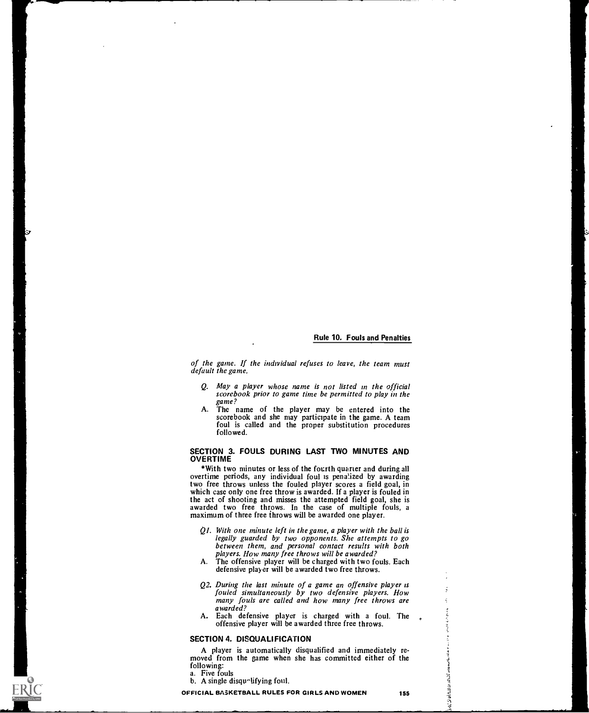of the game. If the individual refuses to leave, the team must default the game.

- Q. May a player whose name is not listed in the official scorebook prior to game time be permitted to play in the game?
- A. The name of the player may be entered into the scorebook and she may participate in the game. A team foul is called and the proper substitution procedures followed.

#### SECTION 3. FOULS DURING LAST TWO MINUTES AND OVERTIME

\*With two minutes or less of the fourth quarter and during all overtime periods, any individual foul is penalized by awarding two free throws unless the fouled player scores a field goal, in which case only one free throw is awarded. If a player is fouled in the act of shooting and misses the attempted field goal, she is awarded two free throws. In the case of multiple fouls, a maximum of three free throws will be awarded one player.

- $QI$ . With one minute left in the game, a player with the ball is legally guarded by two opponents. She attempts to go between them, and personal contact results with both players. How many free throws will be awarded?
- A. The offensive player will be charged with two fouls. Each defensive player will be awarded two free throws.
- Q2. During the last minute of a game an offensive player is<br>fouled simultaneously by two defensive players. How many fouls are called and how many free throws are awarded?
- A. Each defensive player is charged with a foul. The offensive player will be awarded three free throws.

#### SECTION 4. DISQUALIFICATION

A player is automatically disqualified and immediately re- moved from the game when she has committed either of the following: a. Five fouls

b. A single disqualifying foul.

OFFICIAL BASKETBALL RULES FOR GIRLS AND WOMEN 155

الأس<br>الم

医导管污染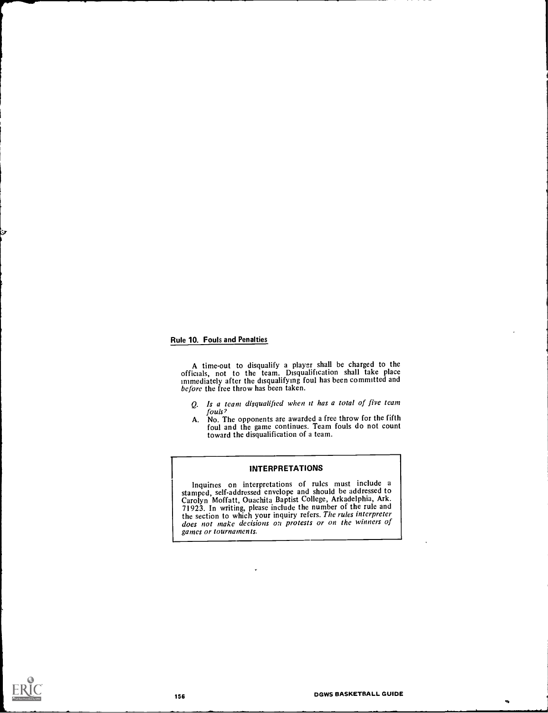A time-out to disqualify a player shall be charged to the officials, not to the team. Disqualification shall take place immediately after the disqualifying foul has been committed and before the free throw has been taken.

- Q. Is a team disqualified when it has a total of five team
- fouls?<br>A. No. The opponents are awarded a free throw for the fifth foul and the game continues. Team fouls do not count toward the disqualification of a team.

#### INTERPRETATIONS

Inquiries on interpretations of rules must include <sup>a</sup> stamped, self-addressed envelope and should be addressed to Carolyn Moffatt, Ouachita Baptist College, Arkadelphia, Ark. 71923. In writing, please include the number of the rule and does not make decisions on protests or on the winners of games or tournaments.



'4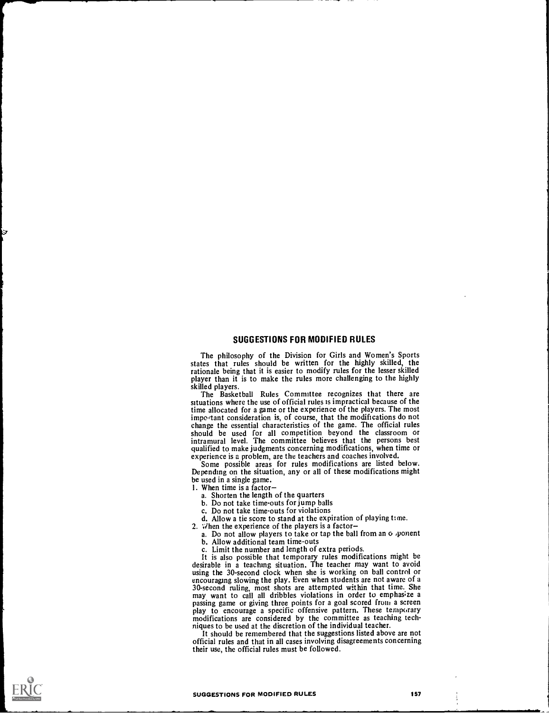# SUGGESTIONS FOR MODIFIED RULES

The philosophy of the Division for Girls and Women's Sports states that rules should be written for the highly skilled, the rationale being that it is easier to modify rules for the lesser skilled player than it is to make the rules more challenging to the highly skilled players.

The Basketball Rules Committee recognizes that there are situations where the use of official rules is impractical because of the time allocated for a game or the experience of the players. The most important consideration is, of course, that the modifications do not important consideration is, of course, that the modifications do not change the essential characteristics of the game. The official rules should be used for all competition beyond the classroom or intramural level. The committee believes that the persons best qualified to make judgments concerning modifications, when time or

experience is a problem, are the teachers and coaches involved. Some possible areas for rules modifications are listed below. Depending on the situation, any or all of these modifications might be used in a single game.

- 1. When time is a factor
	- a. Shorten the length of the quarters
	-
	-
	- c. Do not take time-outs for violations<br>d. Allow a tie score to stand at the expiration of playing time.
	-
- 2. When the experience of the players is a factor-<br>a. Do not allow players to take or tap the ball from an  $\sigma$  .ponent
	- b. Allow additional team time-outs
	-

c. Limit the number and length of extra periods. desirable in a teaching situation. The teacher may want to avoid using the 30-second clock when she is working on ball control or encouraging slowing the play. Even when students are not aware of a encouraging slowing the play. Even when students are not aware of a 30-second ruling, most shots are attempted within that time. She may want to call all dribbles violations in order to emphas;ze a passing game or giving three points for a goal scored from a screen play to encourage a specific offensive pattern. These temporary modifications are considered by the committee as teaching techniques to be used at the discretion of the individual teacher. It should be remembered that the suggestions listed above are not

official rules and that in all cases involving disagreements concerning their use, the official rules must be followed.

#### SUGGESTIONS FOR MODIFIED RULES 157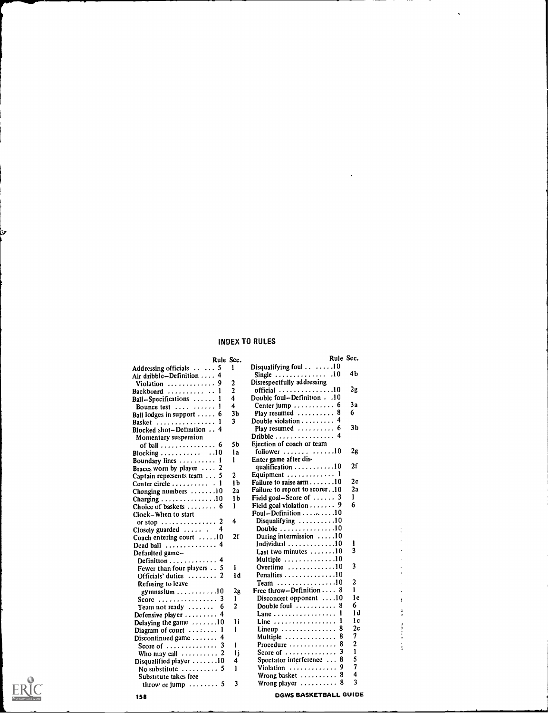# INDEX TO RULES

|                                              | Rule Sec.      | Rule Sec.                                   |     |
|----------------------------------------------|----------------|---------------------------------------------|-----|
| . 5<br>Addressing officials                  | 1              | Disqualifying foul 10                       |     |
| Air dribble–Definition<br>4                  |                | Single  .i0                                 | 46  |
| Violation  9                                 | 2              | Disrespectfully addressing                  |     |
| Backboard                                    | $\overline{2}$ | official 10                                 | 2g  |
| Ball-Specifications                          | 4              | Double foul-Definition 10                   |     |
| Bounce test<br>1                             | 4              | Center jump $\ldots \ldots \ldots 6$        | 3а  |
| Ball lodges in support $\ldots$ 6            | 3b             | Play resumed<br>8                           | 6   |
| Basket                                       | 3              | Double violation $\ldots \ldots$            |     |
| Blocked shot-Definition  4                   |                | Play resumed $\ldots \ldots \ldots 6$       | 3b  |
| Momentary suspension                         |                | Dribble  4                                  |     |
| of ball $\ldots \ldots \ldots \ldots$ 6      | 5b             | Ejection of coach or team                   |     |
| Blocking $\ldots \ldots \ldots \ldots$ 10    | 1a             | follower $\ldots$ 10                        | 2g  |
| Boundary lines<br>1                          | 1              | Enter game after dis-                       |     |
| Braces worn by player $\ldots$ 2             |                | qualification $\cdots \cdots \cdots 10$     | 2f  |
| Captain represents team<br>5                 | $\overline{2}$ | Equipment $\ldots \ldots \ldots \ldots 1$   |     |
| Center circle $\ldots \ldots \ldots \ldots$  | 1b             | Failure to raise arm $\ldots \ldots 10$     | 2c  |
| Changing numbers 10                          | 2а             | Failure to report to scorer. .10            | 2а  |
| Charging $\ldots \ldots \ldots \ldots 10$    | 1b             | Field goal–Score of $\ldots$ 3              | 1   |
| Choice of baskets<br>6                       | 1              | Field goal violation $\ldots \ldots$ . 9    | 6   |
| Clock–When to start                          |                | Foul–Definition $\ldots \ldots \ldots 10$   |     |
| 2<br>or stop $\dots \dots \dots \dots \dots$ | 4              | Disqualifying 10                            |     |
| Closely guarded  .<br>4                      |                | Double $\ldots \ldots \ldots \ldots 10$     |     |
| Coach entering court $\dots$ . 10            | 2f             | During intermission $\dots$ 10              |     |
| Dead ball                                    |                | Individual $\ldots \ldots \ldots \ldots 10$ | 1   |
| Defaulted game–                              |                | Last two minutes 10                         | 3   |
| 4<br>Definition                              |                | Multiple $\ldots \ldots \ldots \ldots 10$   |     |
| Fewer than four players $\ldots$ 5           | I              | Overtime 10                                 | 3   |
| Officials' duties $\ldots \ldots \ldots$ 2   | łd.            | Penalties $\ldots \ldots \ldots \ldots 10$  |     |
| Refusing to leave                            |                | Team 10                                     | 2   |
| gymnasium $\ldots \ldots \ldots 10$          | 2g             | Free throw-Definition $\ldots$ 8            | ı   |
| Score $\ldots \ldots \ldots \ldots$ 3        | L              | Disconcert opponent $\dots 10$              | 1c  |
| Team not ready                               | 2              | Double foul $\ldots \ldots \ldots 8$        | 6   |
| Defensive player  4                          |                | Lane                                        | 1 d |
| Delaying the game $\dots \dots 10$           | 1i             | Line $\ldots \ldots \ldots \ldots \ldots$   | 1 c |
| Diagram of court                             | ĵ              | 8                                           | 2c  |
| Discontinued game<br>4                       |                | Multiple                                    | 7   |
| Score of $\ldots \ldots \ldots$              | I              | Procedure  8                                | 2   |
| Who may call                                 | ij             |                                             | 1   |
| Disqualified player 10                       | 4              | Spectator interference $\ldots$ 8           | 5   |
| No substitute $\ldots \ldots \ldots$ 5       | ĵ              | Violation  9                                | 7   |
| Substitute takes free                        |                | 8<br>Wrong basket $\dots \dots$             | 4   |
| throw or jump $\ldots \ldots \ldots$ 5       | 3              | Wrong player $\ldots \ldots \ldots 8$       | 3   |
|                                              |                |                                             |     |

| Full Text Provided by ERIC |
|----------------------------|

У

158 DGWS BASKETBALL GUIDE

 $\frac{1}{2}$ 

 $\frac{1}{2}$  $\ddot{\phantom{a}}$  $\bar{b}$  $\ddot{\mathrm{r}}$  $\frac{1}{\epsilon}$ 

 $\frac{1}{3}$ 

 $\cdot$ 

 $\ddot{\phantom{0}}$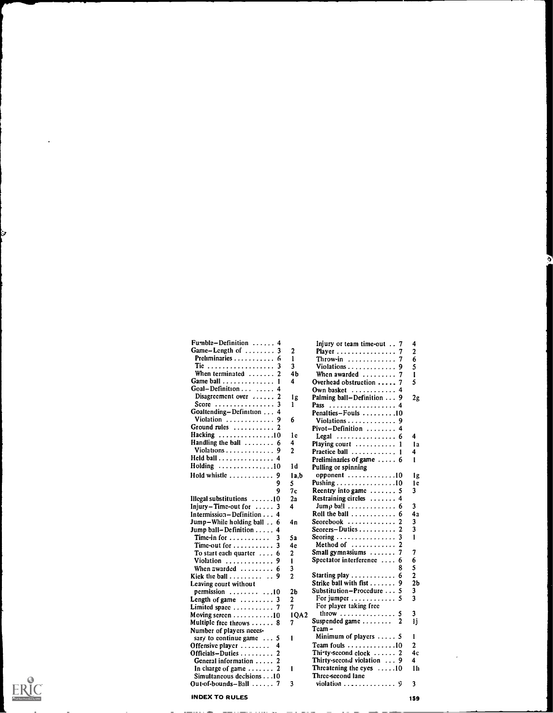| Fumble-Definition $\ldots$<br>4                                        |                      |
|------------------------------------------------------------------------|----------------------|
| Game-Length of<br>3                                                    |                      |
| Preliminaries<br>6                                                     | $\ddot{\phantom{0}}$ |
| Tic<br>When terminated<br>3                                            |                      |
| $\mathbf{2}$                                                           |                      |
| Game ball<br>$\mathbf{1}$                                              | í                    |
| Goal-Definition<br>Disagreement over<br>4                              |                      |
| $\overline{a}$                                                         |                      |
| Score<br>3                                                             |                      |
| Goaltending-Definition<br>$\overline{\bf{4}}$                          |                      |
| 9                                                                      | Í                    |
| Violation<br>Ground rules<br>$\overline{c}$                            |                      |
|                                                                        | Í                    |
| Hacking 10<br>Handling the ball  6                                     |                      |
| Violations<br>9                                                        |                      |
| Held ball<br>4                                                         |                      |
| Holding 10                                                             | j                    |
| Hold whistle  9                                                        | $\overline{1}$       |
| 9                                                                      |                      |
| 9                                                                      | $\frac{4}{1}$        |
|                                                                        | ź                    |
| Illegal substitutions  10                                              |                      |
| $Injury-Time-out for \ldots$ .<br>3                                    |                      |
| Intermission-Definition 4                                              |                      |
| Jump-While holding ball 6                                              | 4                    |
| Jump ball-Definition<br>4                                              |                      |
| Time-in for $\dots$<br>3                                               | ś                    |
| 3<br>Time-out for                                                      | 4                    |
| To start each quarter  6                                               | 2                    |
| Violation  9                                                           | Í                    |
| When awarded $\ldots$ 6                                                | $\ddot{ }$           |
| 9<br>Kick the ball                                                     |                      |
| Leaving court without                                                  |                      |
| permission  10<br>Length of game  3                                    | $\frac{2}{3}$        |
|                                                                        |                      |
| Limited space  7                                                       |                      |
| Moving sereen 10                                                       | Í                    |
| Multiple free throws  8                                                |                      |
| Number of players neces-                                               |                      |
| sary to continue game<br>5                                             | 1                    |
| Offensive player<br>4                                                  |                      |
| Officials-Duties                                                       |                      |
| General information                                                    |                      |
| In charge of game $\dots \dots 2$<br>Simultaneous decisions $\dots$ 10 | ı                    |
|                                                                        |                      |
| $\overline{7}$<br>Out-of-bounds-Ball $\ldots$                          | Ē                    |

| Fumble-Definition $\dots$ , 4           |       | Injury or team time-out 7                         | 4              |
|-----------------------------------------|-------|---------------------------------------------------|----------------|
| Game-Length of $\dots\dots$ 3           | 2     | Player                                            | 2              |
| Preliminaries                           | 1     | Throw-in $\ldots \ldots \ldots$<br>7              | 6              |
|                                         | 3     | Violations<br>9                                   | 5              |
| When terminated                         | 4b    | When awarded                                      | I              |
| Game ball<br>1                          | 4     | Overhead obstruction<br>-7                        | 5              |
| $Goal - Definition \dots \dots 4$       |       | Own basket                                        |                |
| Disagreement over $\dots$               | 1g    | Palming ball-Definition 9                         |                |
| Score $\dots\dots\dots\dots\dots\dots$  | 1     |                                                   | 2g             |
| Goaltending-Definition 4                |       | Pass<br>Penalties-Fouls 10                        |                |
| Violation  9                            | 6     |                                                   |                |
| Ground rules  2                         |       | Violations                                        |                |
| Hacking 10                              | 1c    | $Pivot-Definition$                                |                |
| Handling the ball $\ldots \ldots$ 6     | 4     | Legal $\ldots \ldots \ldots \ldots \ldots 6$      | 4              |
|                                         |       | Playing court $\ldots \ldots \ldots 1$            | l a            |
| Violations                              | 2     | Practice ball<br>1                                | 4              |
| Held ball 4                             |       | Preliminaries of game  6                          | 1              |
| Holding 10                              | 1d    | Pulling or spinning                               |                |
| Hold whistle<br>9                       | l a,b | opponent $\ldots \ldots \ldots \ldots 10$         | Ιg             |
| 9                                       | 5     | Pushing $\ldots \ldots \ldots \ldots \ldots 10$   | l c            |
| 9                                       | 7с    | Recntry into game $\dots$                         | 3              |
| Illegal substitutions  10               | 2а    | Restraining eireles<br>4                          |                |
| $Injury-Time-out for \ldots$ .          | 4     | Jump ball $\ldots \ldots \ldots$                  | 3              |
| Intermission – Definition $\dots$       |       | Roll the ball $\ldots$ , $\ldots$ , $\ldots$<br>6 | 4а             |
| Jump-While holding ball<br>6            | 4n    | $Scorebook$<br>2                                  | 3              |
| Jump ball–Definition $\dots$ .          |       | Scorers-Duties                                    | 3              |
| Time-in for $\dots$                     | 5а    | Scoring $\ldots \ldots \ldots \ldots \ldots$<br>3 | 1              |
| Time-out for $\dots \dots \dots$        | 4c    | Method of                                         |                |
| To start each quarter $\dots$           | 2     | Small gymnasiums<br>7                             | 7              |
| Violation                               | 1     | Spectator interference<br>-6                      | 6              |
| When awarded $\dots\dots\dots$<br>6     | 3     |                                                   | 5              |
| Kick the ball                           | 2     | Starting play $\ldots \ldots \ldots$<br>6         | $\overline{2}$ |
| Leaving court without                   |       | Strike ball with fist<br>9                        | 2Ь             |
| permission 10                           | 2ь    | Substitution-Procedure                            | 3              |
| Length of game $\ldots \ldots \ldots 3$ | 2     | For jumper $\dots \dots \dots \dots$              | 3              |
| Limited space  7                        | 7     | For player taking free                            |                |
| Moving sereen 10                        | IQA2  | throw $\ldots \ldots \ldots \ldots$<br>5          | 3              |
| Multiple free throws  8                 | 7     | Suspended game $\dots \dots$<br>2                 | 1j             |
| Number of players neces-                |       | Team –                                            |                |
| sary to continue game $\dots$<br>5      | 1     | Minimum of players $\dots$ 5                      | 1              |
| Offensive player<br>4                   |       | Team fouls $\ldots \ldots \ldots \ldots 10$       | 2              |
| Officials-Dutics<br>2                   |       | Thi-ty-second clock  2                            | 4с             |
| General information                     |       | Thirty-second violation  9                        | 4              |
| In charge of game $\ldots \ldots$       | 1     | Threatening the eyes $\dots 10$                   | 1h             |
| Simultaneous decisions 10               |       | Three-seeond lane                                 |                |
| Out-of-bounds-Ball $\ldots$ . 7         | 3     | violation $\ldots \ldots \ldots$                  | 3              |
|                                         |       |                                                   |                |

 $\overline{\phantom{0}}$ 



Э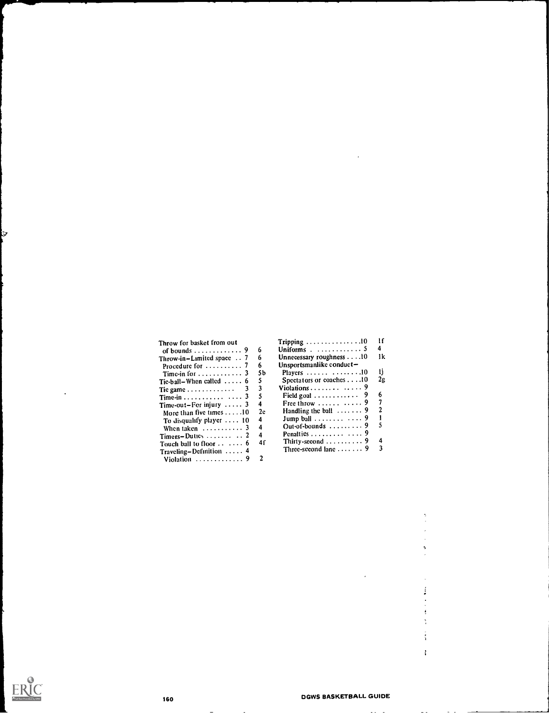#### Throw for basket from out of bounds Throw-in-Limited space  $\therefore$  7 6 Procedure for ..... Time-in for  $\dots \dots \dots \dots$  3 9  $76$ 76 5 66 6 Time-in  $\dots$   $\dots$   $\dots$   $3$  5<br>Time-out-For injury  $\dots$  3 4 Traveling–Definition  $\ldots$  4 Three-second lane  $\ldots$  9 3 Violation  $\ldots$   $\ldots$   $\ldots$  9 2

| Throw for basket from out                 |    | $Tripping \ldots \ldots \ldots \ldots \ldots 10$ | Ħ  |  |
|-------------------------------------------|----|--------------------------------------------------|----|--|
| of bounds $\ldots \ldots \ldots \ldots$ 9 | 6  | Uniforms . $\ldots \ldots \ldots \ldots 5$       |    |  |
| Throw-in-Limited space $\ldots$ 7         | 6  | Unnecessary roughness $\dots$ . 10               | 1k |  |
| Procedure for $\dots\dots\dots$ 7         | 6. | Unsportsmanlike conduct-                         |    |  |
| Time-in for $\dots \dots \dots \dots$ 3   | 5b | Players $\ldots \ldots \ldots \ldots \ldots 10$  | n  |  |
| Tic-ball–When called $\ldots$ 6           | 5  | Spectators or coaches $\dots$ 10                 | 2g |  |
|                                           | 3  | Violations $\ldots \ldots \ldots$                |    |  |
| Time-in $\cdots$ 3                        | 5  | Field goal $\ldots \ldots \ldots \ldots$ 9       | 6  |  |
| Time-out-For injury $\ldots$ 3            | 4  | Free throw $\ldots \ldots \ldots$ 9              |    |  |
| More than five times $\dots$ .10          | 2c | Handling the ball $\ldots$ 9                     |    |  |
| To disqualify player $\ldots$ 10          | 4  | Jump ball $\ldots \ldots \ldots$ 9               |    |  |
| When taken $\dots \dots \dots$ 3          | 4  | Out-of-bounds $\ldots \ldots \ldots$ 9           |    |  |
| Timers-Duties $\dots \dots \dots$ 2       | 4  |                                                  |    |  |
| Touch ball to floor $\cdots$ 6            | 4ſ | Thirty-second $\ldots \ldots \ldots$ 9           | 4  |  |
| Tanalina Definition — 4                   |    | Three-second lane $\ldots \ldots$ 9              |    |  |



Э

 $\frac{1}{2}$  $\frac{1}{4}$  $\mathbf{r}$ 

1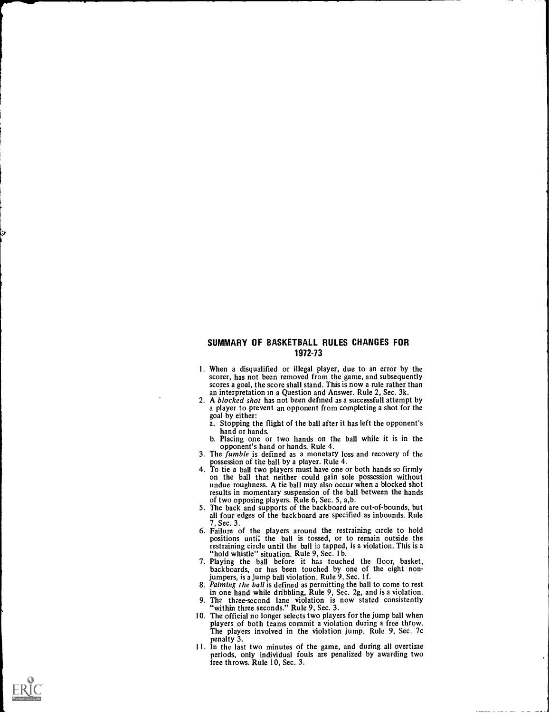# SUMMARY OF BASKETBALL RULES CHANGES FOR 1972-73

- 1. When a disqualified or illegal player, due to an error by the scorer, has not been removed from the game, and subsequently scores a goal, the score shall stand. This is now a rule rather than an interpretation in a Question and Answer. Rule 2, Sec. 3k.
- 2. A blocked shot has not been defined as a successfull attempt by a player to prevent an opponent from completing a shot for the goal by either:
	- a. Stopping the flight of the ball after it has left the opponent's hand or hands.
	- b. Placing one or two hands on the ball while it is in the
- 3. The fumble is defined as a monetary loss and recovery of the possession of the ball by a player. Rule 4.
- 4. To tie a ball two players must have one or both hands so firmly<br>on the ball that neither could gain sole possession without<br>undue roughness. A tie ball may also occur when a blocked shot<br>results in momentary suspension
- of two opposing players. Rule 6, Sec. 5, a,b. 5. The back and supports of the backboard are out-of-bounds, but all four edges of the backboard are specified as inbounds. Rule 7, Sec. 3.
- 6. Failure of the players around the restraining circle to hold positions until the ball is tossed, or to remain outside the restraining circle until the ball is tapped, is a violation. This is a "hold whistle" situation. Rule 9, Sec. 1b.
- 7. Playing the ball before it has touched the floor, basket, backboards, or has been touched by one of the eight nonjumpers, is a jump ball violation. Rule 9, Sec. 1f.
- 8. Palming the ball is defined as permitting the ball to come to rest in one hand while dribbling, Rule 9, Sec. 2g, and is a violation.<br>9. The three-second lane violation is now stated consistently
- 9. The three-second lane violation is now stated consistently "within three seconds." Rule 9, Sec. 3.
- 10. The official no longer selects two players for the jump ball when players of both teams commit a violation during a free throw. The players involved in the violation jump. Rule 9, Sec. 7c
- 11. In the last two minutes of the game, and during all overtime periods, only individual fouls are penalized by awarding two free throws. Rule 10, Sec. 3.